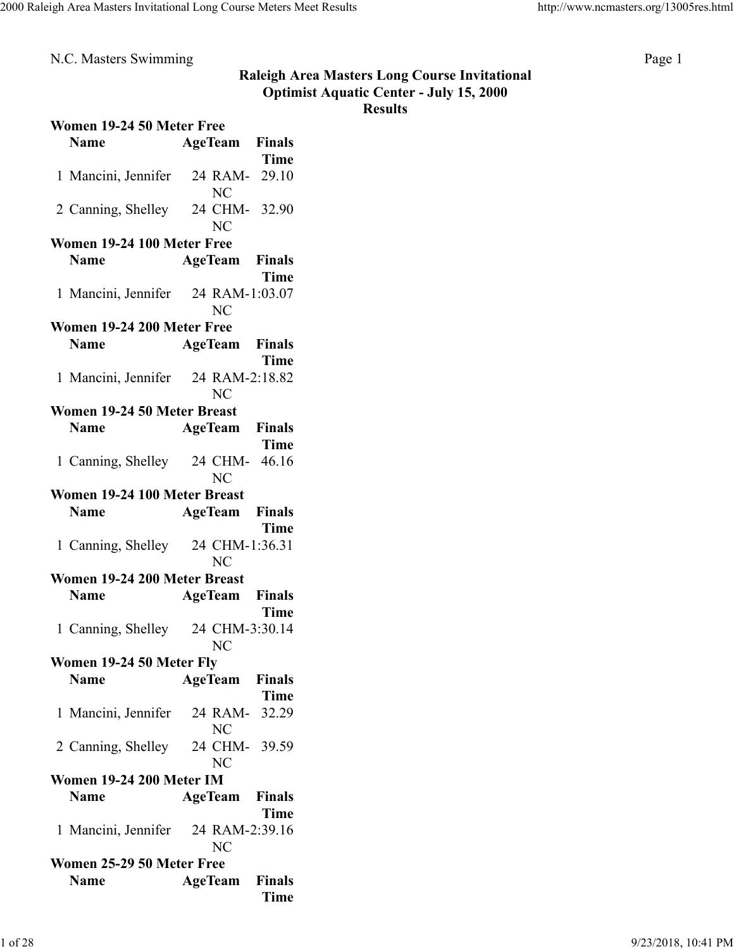N.C. Masters Swimming Page 1

## **Raleigh Area Masters Long Course Invitational Optimist Aquatic Center - July 15, 2000 Results**

| Women 19-24 50 Meter Free          |                       |             |
|------------------------------------|-----------------------|-------------|
| <b>Name</b>                        | <b>AgeTeam</b> Finals |             |
|                                    |                       | Time        |
| 1 Mancini, Jennifer                | 24 RAM-<br><b>NC</b>  | 29.10       |
| 2 Canning, Shelley 24 CHM-32.90    | N <sub>C</sub>        |             |
| Women 19-24 100 Meter Free         |                       |             |
| <b>Name</b>                        | <b>AgeTeam</b> Finals |             |
|                                    |                       | Time        |
| 1 Mancini, Jennifer 24 RAM-1:03.07 |                       |             |
|                                    | <b>NC</b>             |             |
| Women 19-24 200 Meter Free         |                       |             |
| <b>Name</b>                        | <b>AgeTeam</b> Finals |             |
|                                    |                       | Time        |
| 1 Mancini, Jennifer 24 RAM-2:18.82 |                       |             |
|                                    | <b>NC</b>             |             |
| Women 19-24 50 Meter Breast        |                       |             |
| <b>Name</b>                        | <b>AgeTeam</b> Finals |             |
|                                    |                       | <b>Time</b> |
| 1 Canning, Shelley 24 CHM- 46.16   |                       |             |
|                                    | <b>NC</b>             |             |
| Women 19-24 100 Meter Breast       |                       |             |
| <b>Name</b>                        | AgeTeam               | Finals      |
|                                    |                       | Time        |
| 1 Canning, Shelley 24 CHM-1:36.31  |                       |             |
|                                    | NC                    |             |
| Women 19-24 200 Meter Breast       |                       |             |
| <b>Name</b>                        | <b>AgeTeam</b> Finals |             |
|                                    |                       | Time        |
| 1 Canning, Shelley 24 CHM-3:30.14  |                       |             |
|                                    | NC                    |             |
| Women 19-24 50 Meter Fly           |                       |             |
| <b>Name</b>                        | <b>AgeTeam</b> Finals |             |
|                                    |                       | <b>Time</b> |
| 1 Mancini, Jennifer 24 RAM-32.29   |                       |             |
|                                    | N <sub>C</sub>        |             |
| 2 Canning, Shelley 24 CHM- 39.59   |                       |             |
|                                    | <b>NC</b>             |             |
| <b>Women 19-24 200 Meter IM</b>    |                       |             |
| <b>Name</b>                        |                       |             |
|                                    | <b>AgeTeam</b> Finals | Time        |
| 1 Mancini, Jennifer 24 RAM-2:39.16 |                       |             |
|                                    |                       |             |
|                                    | NC                    |             |
| Women 25-29 50 Meter Free          |                       |             |
| <b>Name</b>                        | <b>AgeTeam</b> Finals |             |
|                                    |                       | <b>Time</b> |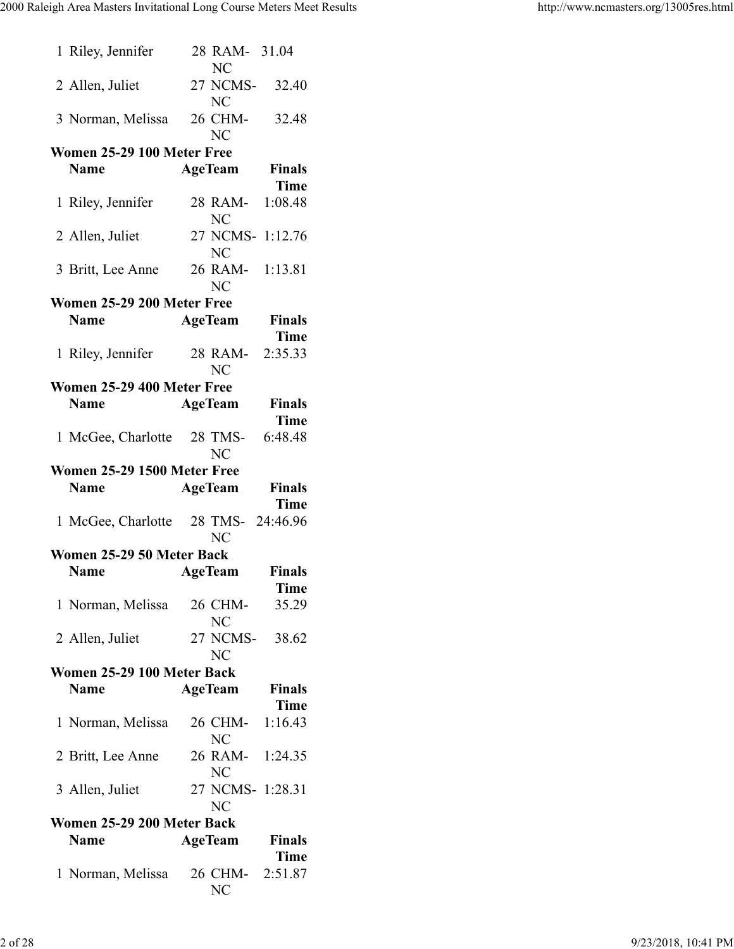| 1 Riley, Jennifer                   | 28 RAM- 31.04<br>NC               |                       |
|-------------------------------------|-----------------------------------|-----------------------|
| 2 Allen, Juliet                     | 27 NCMS-32.40<br>NC               |                       |
| 3 Norman, Melissa 26 CHM- 32.48     | <b>NC</b>                         |                       |
| Women 25-29 100 Meter Free          |                                   |                       |
| <b>Name</b>                         | <b>AgeTeam</b>                    | <b>Finals</b>         |
|                                     |                                   | <b>Time</b>           |
| 1 Riley, Jennifer                   | 28 RAM- 1:08.48<br>N <sub>C</sub> |                       |
| 2 Allen, Juliet                     | 27 NCMS- 1:12.76<br>NC            |                       |
| 3 Britt, Lee Anne 26 RAM- 1:13.81   | NC                                |                       |
| Women 25-29 200 Meter Free          |                                   |                       |
| <b>Name</b>                         | <b>AgeTeam</b>                    | <b>Finals</b>         |
|                                     |                                   | <b>Time</b>           |
| 1 Riley, Jennifer                   | 28 RAM- 2:35.33<br><b>NC</b>      |                       |
| Women 25-29 400 Meter Free          |                                   |                       |
| <b>Name</b>                         | <b>AgeTeam</b>                    | <b>Finals</b>         |
|                                     |                                   | <b>Time</b>           |
| 1 McGee, Charlotte 28 TMS-          | <b>NC</b>                         | 6:48.48               |
| <b>Women 25-29 1500 Meter Free</b>  |                                   |                       |
| <b>Name</b>                         | <b>AgeTeam</b>                    | <b>Finals</b>         |
|                                     |                                   | Time                  |
| 1 McGee, Charlotte 28 TMS- 24:46.96 | NC                                |                       |
| Women 25-29 50 Meter Back           |                                   |                       |
| <b>Name</b>                         | <b>AgeTeam</b> Finals             |                       |
|                                     |                                   | Time                  |
| 1 Norman, Melissa                   | 26 CHM-<br><b>NC</b>              | 35.29                 |
| 2 Allen, Juliet                     | 27 NCMS-38.62<br>NC               |                       |
| Women 25-29 100 Meter Back          |                                   |                       |
| <b>Name</b>                         | <b>AgeTeam</b>                    | <b>Finals</b>         |
|                                     |                                   | Time                  |
| 1 Norman, Melissa                   | 26 CHM- 1:16.43<br>NC             |                       |
| 2 Britt, Lee Anne                   | 26 RAM- 1:24.35<br>N <sub>C</sub> |                       |
| 3 Allen, Juliet                     | 27 NCMS- 1:28.31<br>NC            |                       |
| Women 25-29 200 Meter Back          |                                   |                       |
| <b>Name</b>                         | <b>AgeTeam</b>                    | <b>Finals</b><br>Time |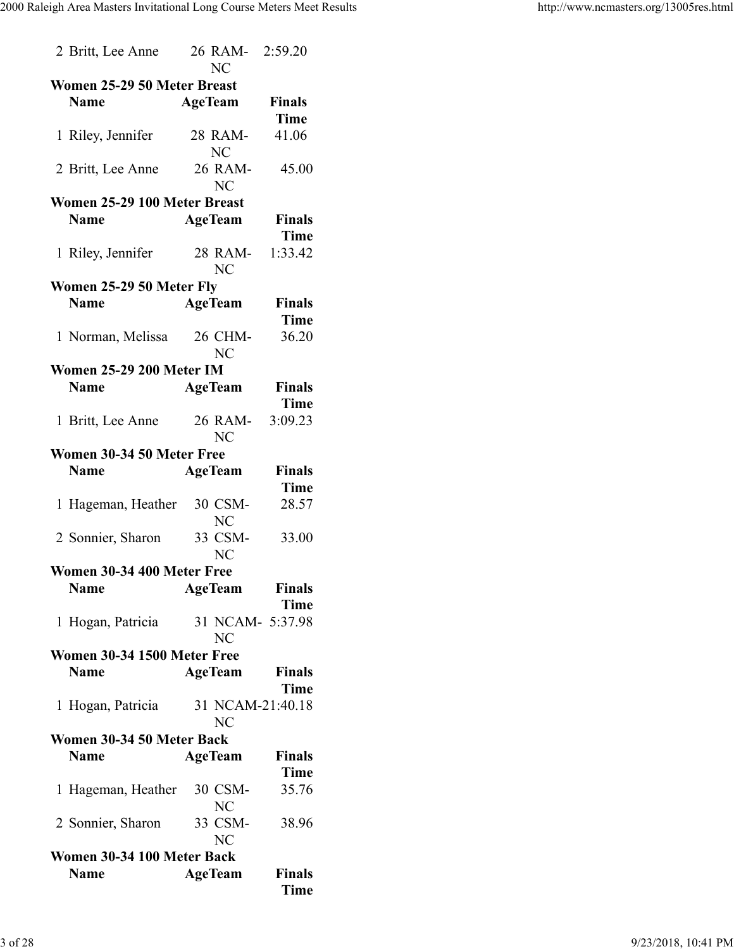| 2 Britt, Lee Anne               | 26 RAM- 2:59.20<br>NC |               |
|---------------------------------|-----------------------|---------------|
| Women 25-29 50 Meter Breast     |                       |               |
| <b>Name</b>                     | <b>AgeTeam</b>        | <b>Finals</b> |
|                                 |                       | <b>Time</b>   |
|                                 |                       |               |
| 1 Riley, Jennifer               | 28 RAM-<br>NC         | 41.06         |
| 2 Britt, Lee Anne               | 26 RAM-<br><b>NC</b>  | 45.00         |
| Women 25-29 100 Meter Breast    |                       |               |
| <b>Name</b>                     |                       |               |
|                                 | <b>AgeTeam</b>        | <b>Finals</b> |
|                                 |                       | <b>Time</b>   |
| 1 Riley, Jennifer               | 28 RAM- 1:33.42<br>NC |               |
| Women 25-29 50 Meter Fly        |                       |               |
| <b>Name</b>                     | <b>AgeTeam</b>        | <b>Finals</b> |
|                                 |                       | <b>Time</b>   |
|                                 |                       | 36.20         |
| 1 Norman, Melissa 26 CHM-       | <b>NC</b>             |               |
| <b>Women 25-29 200 Meter IM</b> |                       |               |
| <b>Name</b>                     | <b>AgeTeam</b>        | <b>Finals</b> |
|                                 |                       | <b>Time</b>   |
|                                 | 26 RAM-               | 3:09.23       |
| 1 Britt, Lee Anne               |                       |               |
|                                 | NC                    |               |
| Women 30-34 50 Meter Free       |                       |               |
| <b>Name</b>                     | <b>AgeTeam</b>        | <b>Finals</b> |
|                                 |                       | <b>Time</b>   |
| 1 Hageman, Heather              | 30 CSM-               | 28.57         |
|                                 | NC                    |               |
| 2 Sonnier, Sharon               | 33 CSM-               | 33.00         |
|                                 | <b>NC</b>             |               |
| Women 30-34 400 Meter Free      |                       |               |
| <b>Name</b>                     | <b>AgeTeam</b>        | <b>Finals</b> |
|                                 |                       |               |
|                                 |                       | Time          |
| 1 Hogan, Patricia               | 31 NCAM- 5:37.98      |               |
|                                 | <b>NC</b>             |               |
| Women 30-34 1500 Meter Free     |                       |               |
| <b>Name</b>                     | <b>AgeTeam</b>        | <b>Finals</b> |
|                                 |                       | Time          |
| 1 Hogan, Patricia               | 31 NCAM-21:40.18      |               |
|                                 | <b>NC</b>             |               |
| Women 30-34 50 Meter Back       |                       |               |
| <b>Name</b>                     | <b>AgeTeam</b>        | <b>Finals</b> |
|                                 |                       | <b>Time</b>   |
|                                 |                       |               |
| 1 Hageman, Heather              | 30 CSM-               | 35.76         |
|                                 | <b>NC</b>             |               |
| 2 Sonnier, Sharon               | 33 CSM-               | 38.96         |
|                                 | <b>NC</b>             |               |
| Women 30-34 100 Meter Back      |                       |               |
| <b>Name</b>                     | <b>AgeTeam</b>        | <b>Finals</b> |
|                                 |                       | Time          |
|                                 |                       |               |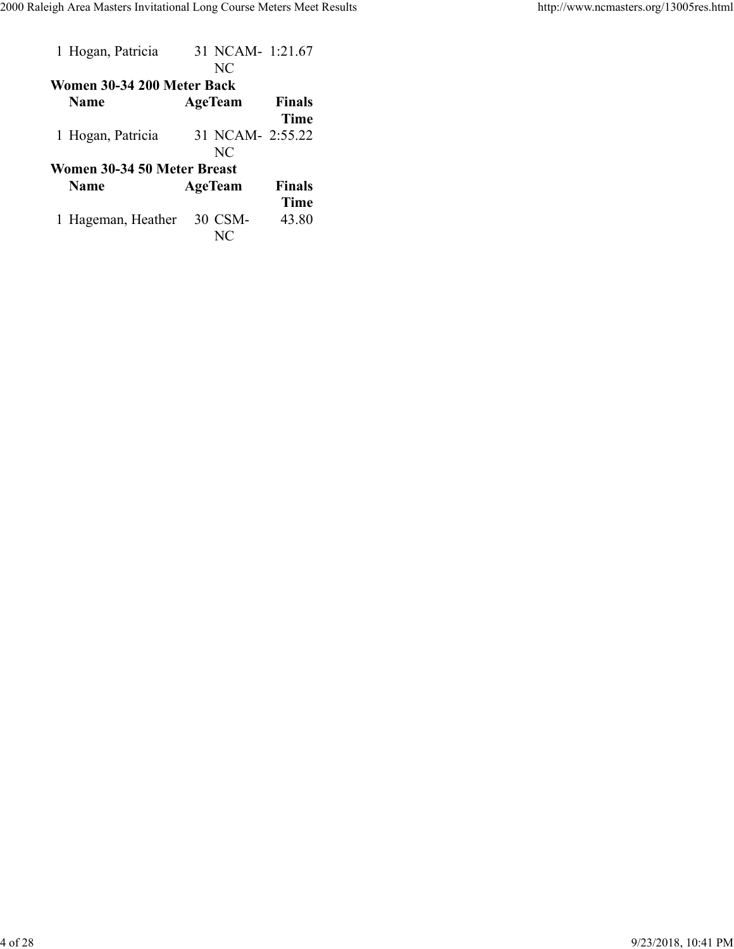| 1 Hogan, Patricia           | 31 NCAM- 1:21.67<br>NC |               |
|-----------------------------|------------------------|---------------|
| Women 30-34 200 Meter Back  |                        |               |
| <b>Name</b>                 | AgeTeam                | <b>Finals</b> |
|                             |                        | <b>Time</b>   |
| 1 Hogan, Patricia           | 31 NCAM- 2:55.22       |               |
|                             | NC                     |               |
| Women 30-34 50 Meter Breast |                        |               |
| <b>Name</b>                 | AgeTeam                | <b>Finals</b> |
|                             |                        | Time          |
| 1 Hageman, Heather          | 30 CSM-                | 43.80         |
|                             | NC                     |               |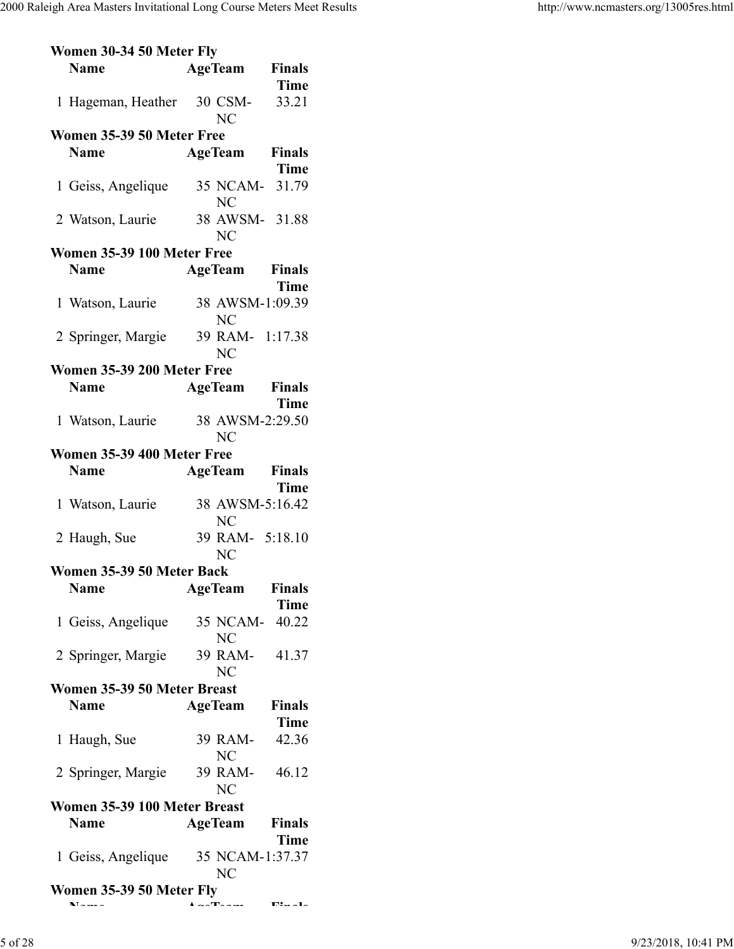| Women 30-34 50 Meter Fly           |                       |                                 |
|------------------------------------|-----------------------|---------------------------------|
| <b>Name</b>                        | <b>AgeTeam</b>        | <b>Finals</b>                   |
|                                    |                       | <b>Time</b>                     |
| 1 Hageman, Heather 30 CSM-         |                       | 33.21                           |
|                                    | <b>NC</b>             |                                 |
| Women 35-39 50 Meter Free          |                       |                                 |
|                                    |                       |                                 |
| <b>Name</b>                        | <b>AgeTeam</b> Finals |                                 |
|                                    |                       | <b>Time</b>                     |
| 1 Geiss, Angelique 35 NCAM-31.79   |                       |                                 |
|                                    | NC                    |                                 |
| 2 Watson, Laurie                   | 38 AWSM- 31.88        |                                 |
|                                    | <b>NC</b>             |                                 |
| Women 35-39 100 Meter Free         |                       |                                 |
|                                    |                       |                                 |
| <b>Name</b>                        | <b>AgeTeam</b> Finals |                                 |
|                                    |                       | Time                            |
| 1 Watson, Laurie                   | 38 AWSM-1:09.39       |                                 |
|                                    | <b>NC</b>             |                                 |
| 2 Springer, Margie                 | 39 RAM- 1:17.38       |                                 |
|                                    | <b>NC</b>             |                                 |
| Women 35-39 200 Meter Free         |                       |                                 |
|                                    |                       |                                 |
| <b>Name</b>                        | <b>AgeTeam</b> Finals |                                 |
|                                    |                       | <b>Time</b>                     |
| 1 Watson, Laurie                   | 38 AWSM-2:29.50       |                                 |
|                                    | <b>NC</b>             |                                 |
| Women 35-39 400 Meter Free         |                       |                                 |
| <b>Name</b>                        | <b>AgeTeam</b> Finals |                                 |
|                                    |                       |                                 |
|                                    |                       | Time                            |
| 1 Watson, Laurie                   | 38 AWSM-5:16.42       |                                 |
|                                    | NC                    |                                 |
| 2 Haugh, Sue                       | 39 RAM- 5:18.10       |                                 |
|                                    | <b>NC</b>             |                                 |
| Women 35-39 50 Meter Back          |                       |                                 |
| <b>Name</b>                        | <b>AgeTeam</b>        | <b>Finals</b>                   |
|                                    |                       | <b>Time</b>                     |
|                                    |                       |                                 |
| 1 Geiss, Angelique                 | 35 NCAM- 40.22        |                                 |
|                                    | NC                    |                                 |
| 2 Springer, Margie                 | 39 RAM- 41.37         |                                 |
|                                    | <b>NC</b>             |                                 |
| Women 35-39 50 Meter Breast        |                       |                                 |
| <b>Name</b>                        | AgeTeam               | Finals                          |
|                                    |                       | <b>Time</b>                     |
|                                    |                       |                                 |
| 1 Haugh, Sue                       | 39 RAM-               | 42.36                           |
|                                    | NC                    |                                 |
| 2 Springer, Margie                 | 39 RAM- 46.12         |                                 |
|                                    | <b>NC</b>             |                                 |
| Women 35-39 100 Meter Breast       |                       |                                 |
| <b>Name</b>                        | AgeTeam               | <b>Finals</b>                   |
|                                    |                       |                                 |
|                                    |                       | <b>Time</b>                     |
| 1 Geiss, Angelique 35 NCAM-1:37.37 |                       |                                 |
|                                    | N <sub>C</sub>        |                                 |
| Women 35-39 50 Meter Fly           |                       |                                 |
| NT --                              | $\sim$ Tanisan        | $E_{\rm max}$ and $E_{\rm max}$ |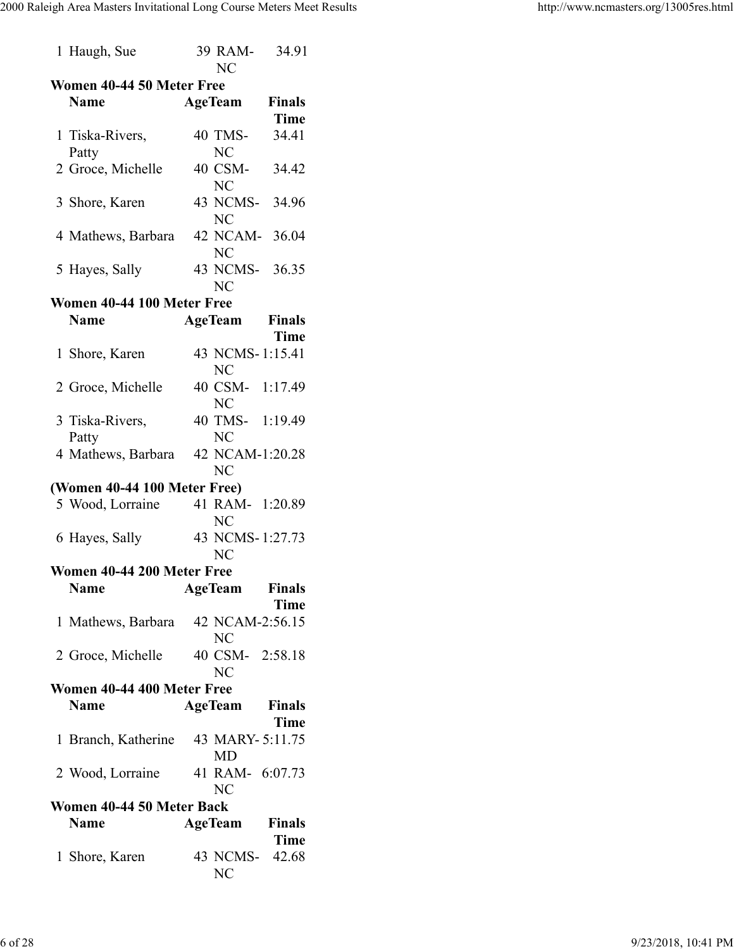| 1 Haugh, Sue                 | 39 RAM- 34.91<br>NC                 |  |  |  |  |  |
|------------------------------|-------------------------------------|--|--|--|--|--|
| Women 40-44 50 Meter Free    |                                     |  |  |  |  |  |
| <b>Name</b>                  | <b>AgeTeam</b> Finals               |  |  |  |  |  |
|                              | <b>Time</b>                         |  |  |  |  |  |
| 1 Tiska-Rivers,              | 40 TMS-<br>34.41                    |  |  |  |  |  |
| Patty                        | N <sub>C</sub>                      |  |  |  |  |  |
| 2 Groce, Michelle            | 40 CSM- 34.42                       |  |  |  |  |  |
|                              | <b>NC</b>                           |  |  |  |  |  |
| 3 Shore, Karen               | 43 NCMS- 34.96                      |  |  |  |  |  |
|                              | N <sub>C</sub>                      |  |  |  |  |  |
| 4 Mathews, Barbara           | 42 NCAM- 36.04                      |  |  |  |  |  |
|                              | <b>NC</b>                           |  |  |  |  |  |
| 5 Hayes, Sally               | 43 NCMS- 36.35                      |  |  |  |  |  |
|                              | <b>NC</b>                           |  |  |  |  |  |
| Women 40-44 100 Meter Free   |                                     |  |  |  |  |  |
| <b>Name</b>                  | <b>AgeTeam</b> Finals               |  |  |  |  |  |
|                              | Time                                |  |  |  |  |  |
| 1 Shore, Karen               | 43 NCMS-1:15.41                     |  |  |  |  |  |
|                              | N <sub>C</sub>                      |  |  |  |  |  |
|                              |                                     |  |  |  |  |  |
| 2 Groce, Michelle            | 40 CSM- 1:17.49<br>N <sub>C</sub>   |  |  |  |  |  |
|                              |                                     |  |  |  |  |  |
| 3 Tiska-Rivers,              | 40 TMS- 1:19.49                     |  |  |  |  |  |
| Patty                        | <b>NC</b>                           |  |  |  |  |  |
| 4 Mathews, Barbara           | 42 NCAM-1:20.28                     |  |  |  |  |  |
|                              | NC                                  |  |  |  |  |  |
| (Women 40-44 100 Meter Free) |                                     |  |  |  |  |  |
| 5 Wood, Lorraine             | 41 RAM- 1:20.89                     |  |  |  |  |  |
|                              | <b>NC</b>                           |  |  |  |  |  |
| 6 Hayes, Sally               | 43 NCMS-1:27.73                     |  |  |  |  |  |
|                              | <b>NC</b>                           |  |  |  |  |  |
| Women 40-44 200 Meter Free   |                                     |  |  |  |  |  |
| <b>Name</b>                  | <b>Finals</b><br><b>AgeTeam</b>     |  |  |  |  |  |
|                              | Time                                |  |  |  |  |  |
|                              | 1 Mathews, Barbara 42 NCAM-2:56.15  |  |  |  |  |  |
|                              | NC                                  |  |  |  |  |  |
| 2 Groce, Michelle            | 40 CSM- 2:58.18                     |  |  |  |  |  |
|                              | NC                                  |  |  |  |  |  |
| Women 40-44 400 Meter Free   |                                     |  |  |  |  |  |
| <b>Name</b>                  | AgeTeam<br><b>Finals</b>            |  |  |  |  |  |
|                              | <b>Time</b>                         |  |  |  |  |  |
|                              | 1 Branch, Katherine 43 MARY-5:11.75 |  |  |  |  |  |
|                              | <b>MD</b>                           |  |  |  |  |  |
|                              | 2 Wood, Lorraine 41 RAM- 6:07.73    |  |  |  |  |  |
|                              | NC                                  |  |  |  |  |  |
| Women 40-44 50 Meter Back    |                                     |  |  |  |  |  |
| <b>Name</b>                  | <b>AgeTeam</b><br><b>Finals</b>     |  |  |  |  |  |
|                              | <b>Time</b>                         |  |  |  |  |  |
| 1 Shore, Karen               | 43 NCMS- 42.68                      |  |  |  |  |  |
|                              | NC                                  |  |  |  |  |  |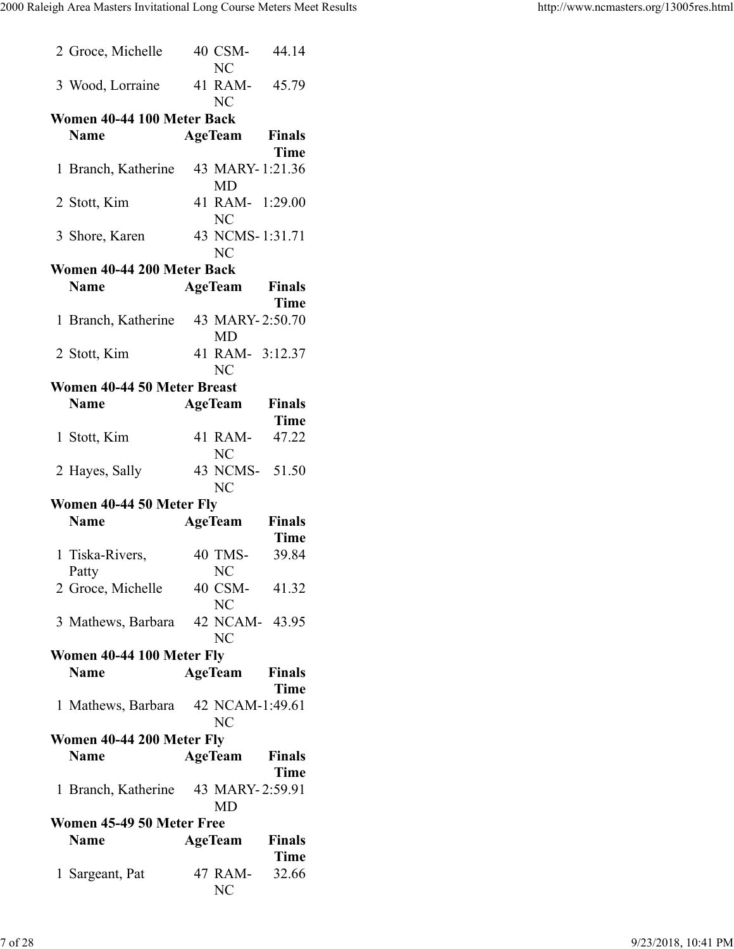| 2 Groce, Michelle                   | 40 CSM-<br>N <sub>C</sub>         | 44.14                |
|-------------------------------------|-----------------------------------|----------------------|
| 3 Wood, Lorraine 41 RAM- 45.79      | N <sub>C</sub>                    |                      |
| Women 40-44 100 Meter Back          |                                   |                      |
| <b>Name</b>                         | <b>AgeTeam</b> Finals             |                      |
|                                     |                                   | Time                 |
| 1 Branch, Katherine                 | 43 MARY-1:21.36<br>MD             |                      |
| 2 Stott, Kim                        | 41 RAM- 1:29.00<br><b>NC</b>      |                      |
| 3 Shore, Karen                      | 43 NCMS-1:31.71<br>N <sub>C</sub> |                      |
| Women 40-44 200 Meter Back          |                                   |                      |
| <b>Name</b>                         | <b>AgeTeam</b> Finals             |                      |
|                                     |                                   | <b>Time</b>          |
| 1 Branch, Katherine 43 MARY-2:50.70 |                                   |                      |
|                                     | MD                                |                      |
| 2 Stott, Kim                        | 41 RAM- 3:12.37<br>NC             |                      |
| Women 40-44 50 Meter Breast         |                                   |                      |
| <b>Name</b>                         | <b>AgeTeam</b> Finals             |                      |
|                                     |                                   | <b>Time</b>          |
| 1 Stott, Kim                        | 41 RAM- 47.22                     |                      |
|                                     | NC                                |                      |
| 2 Hayes, Sally                      | 43 NCMS- 51.50<br>NC              |                      |
| Women 40-44 50 Meter Fly            |                                   |                      |
| <b>Name</b>                         | <b>AgeTeam</b> Finals             | <b>Time</b>          |
| 1 Tiska-Rivers,                     | 40 TMS-                           | 39.84                |
| Patty                               | <b>NC</b>                         |                      |
| 2 Groce, Michelle                   | 40 CSM- 41.32<br>NC               |                      |
| 3 Mathews, Barbara 42 NCAM- 43.95   | NC                                |                      |
| Women 40-44 100 Meter Fly           |                                   |                      |
| <b>Name</b>                         | <b>AgeTeam</b> Finals             |                      |
|                                     |                                   | Time                 |
| 1 Mathews, Barbara 42 NCAM-1:49.61  | <b>NC</b>                         |                      |
| Women 40-44 200 Meter Fly           |                                   |                      |
| <b>Name</b>                         | <b>AgeTeam</b>                    | <b>Finals</b>        |
|                                     |                                   | <b>Time</b>          |
| 1 Branch, Katherine 43 MARY-2:59.91 |                                   |                      |
|                                     | MD                                |                      |
| Women 45-49 50 Meter Free           |                                   |                      |
|                                     |                                   |                      |
| <b>Name</b>                         | <b>AgeTeam</b> Finals             |                      |
| 1 Sargeant, Pat                     | 47 RAM-<br>NC                     | <b>Time</b><br>32.66 |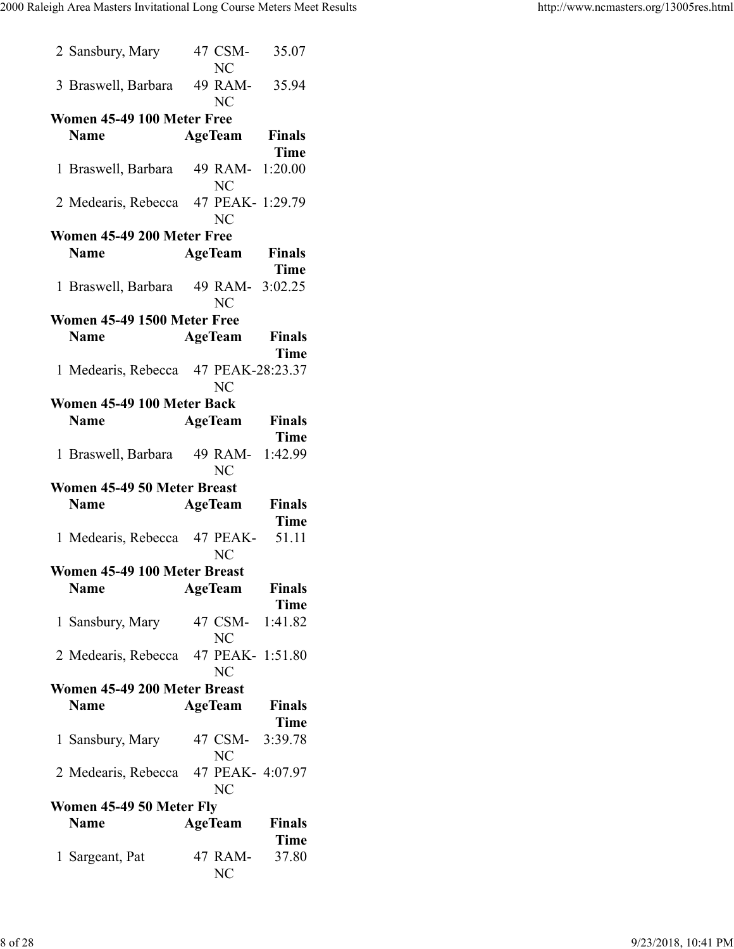|                            | 2 Sansbury, Mary                     | 47 CSM-<br><b>NC</b>          | 35.07                |  |  |  |
|----------------------------|--------------------------------------|-------------------------------|----------------------|--|--|--|
|                            | 3 Braswell, Barbara                  | 49 RAM-<br><b>NC</b>          | 35.94                |  |  |  |
| Women 45-49 100 Meter Free |                                      |                               |                      |  |  |  |
|                            | <b>Name</b>                          | <b>AgeTeam</b>                | <b>Finals</b>        |  |  |  |
|                            |                                      |                               | <b>Time</b>          |  |  |  |
|                            | 1 Braswell, Barbara                  | 49 RAM- 1:20.00<br><b>NC</b>  |                      |  |  |  |
|                            | 2 Medearis, Rebecca 47 PEAK- 1:29.79 | N <sub>C</sub>                |                      |  |  |  |
|                            | Women 45-49 200 Meter Free           |                               |                      |  |  |  |
|                            | <b>Name</b>                          | <b>AgeTeam</b>                | Finals               |  |  |  |
|                            |                                      |                               | <b>Time</b>          |  |  |  |
|                            | 1 Braswell, Barbara                  | 49 RAM-<br><b>NC</b>          | 3:02.25              |  |  |  |
|                            | Women 45-49 1500 Meter Free          |                               |                      |  |  |  |
|                            | <b>Name</b>                          | <b>AgeTeam</b>                | Finals<br>Time       |  |  |  |
|                            | 1 Medearis, Rebecca 47 PEAK-28:23.37 | NC                            |                      |  |  |  |
|                            | Women 45-49 100 Meter Back           |                               |                      |  |  |  |
|                            | <b>Name</b>                          | <b>AgeTeam</b>                | <b>Finals</b>        |  |  |  |
|                            |                                      |                               | <b>Time</b>          |  |  |  |
|                            | 1 Braswell, Barbara                  | 49 RAM-                       | 1:42.99              |  |  |  |
|                            |                                      | N <sub>C</sub>                |                      |  |  |  |
|                            | Women 45-49 50 Meter Breast          |                               |                      |  |  |  |
|                            | <b>Name</b>                          | <b>AgeTeam</b>                | <b>Finals</b>        |  |  |  |
|                            |                                      |                               | <b>Time</b>          |  |  |  |
|                            | 1 Medearis, Rebecca 47 PEAK-         | <b>NC</b>                     | 51.11                |  |  |  |
|                            | Women 45-49 100 Meter Breast         |                               |                      |  |  |  |
|                            | <b>Name</b>                          | <b>AgeTeam</b>                | <b>Finals</b>        |  |  |  |
|                            |                                      |                               | <b>Time</b>          |  |  |  |
|                            | 1 Sansbury, Mary                     | 47 CSM-<br>NC                 | 1:41.82              |  |  |  |
|                            | 2 Medearis, Rebecca                  | 47 PEAK- 1:51.80<br><b>NC</b> |                      |  |  |  |
|                            | Women 45-49 200 Meter Breast         |                               |                      |  |  |  |
|                            | <b>Name</b>                          | <b>AgeTeam</b>                | <b>Finals</b>        |  |  |  |
|                            |                                      |                               | <b>Time</b>          |  |  |  |
|                            | 1 Sansbury, Mary                     | 47 CSM- 3:39.78<br><b>NC</b>  |                      |  |  |  |
|                            | 2 Medearis, Rebecca 47 PEAK- 4:07.97 | N <sub>C</sub>                |                      |  |  |  |
|                            | Women 45-49 50 Meter Fly             |                               |                      |  |  |  |
|                            | <b>Name</b>                          | AgeTeam                       | <b>Finals</b>        |  |  |  |
|                            | 1 Sargeant, Pat                      | 47 RAM-                       | <b>Time</b><br>37.80 |  |  |  |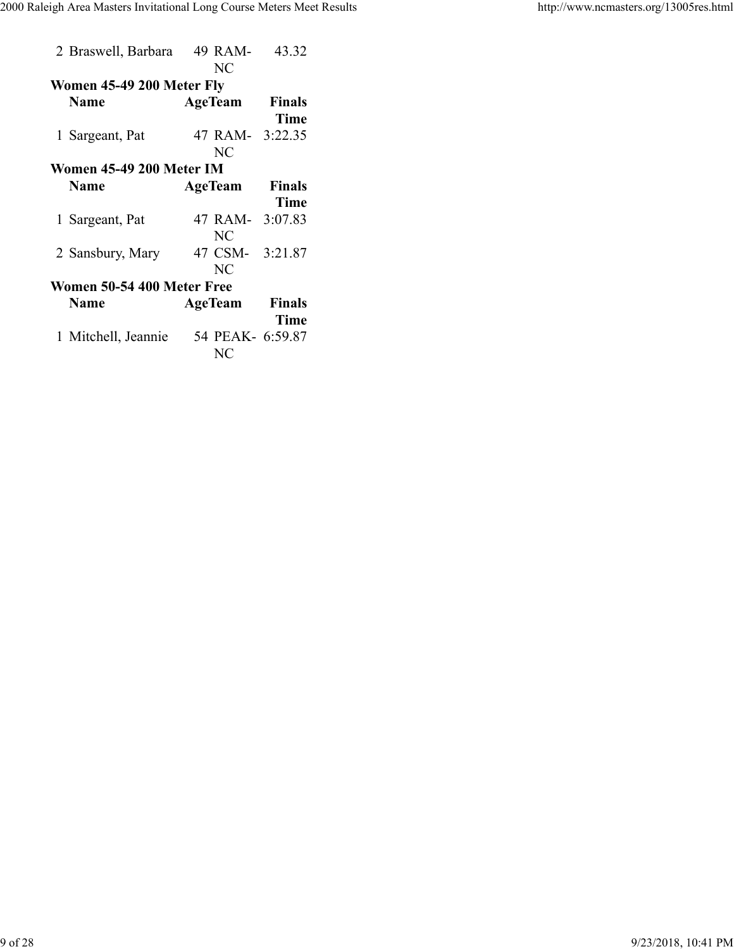| Women 45-49 200 Meter Fly<br><b>Finals</b><br><b>Name</b><br><b>AgeTeam</b><br><b>Time</b><br>47 RAM- 3:22.35<br>1 Sargeant, Pat<br><b>NC</b><br>Women 45-49 200 Meter IM<br><b>Name</b><br><b>Finals</b><br><b>AgeTeam</b><br><b>Time</b><br>47 RAM- 3:07.83<br>1 Sargeant, Pat<br>NC<br>47 CSM- 3:21.87<br>2 Sansbury, Mary<br>NC<br>Women 50-54 400 Meter Free<br><b>Name</b><br><b>Finals</b><br>AgeTeam<br><b>Time</b><br>54 PEAK- 6:59.87<br>1 Mitchell, Jeannie<br>NC | 2 Braswell, Barbara | 49 RAM-   | 43.32 |
|------------------------------------------------------------------------------------------------------------------------------------------------------------------------------------------------------------------------------------------------------------------------------------------------------------------------------------------------------------------------------------------------------------------------------------------------------------------------------|---------------------|-----------|-------|
|                                                                                                                                                                                                                                                                                                                                                                                                                                                                              |                     | <b>NC</b> |       |
|                                                                                                                                                                                                                                                                                                                                                                                                                                                                              |                     |           |       |
|                                                                                                                                                                                                                                                                                                                                                                                                                                                                              |                     |           |       |
|                                                                                                                                                                                                                                                                                                                                                                                                                                                                              |                     |           |       |
|                                                                                                                                                                                                                                                                                                                                                                                                                                                                              |                     |           |       |
|                                                                                                                                                                                                                                                                                                                                                                                                                                                                              |                     |           |       |
|                                                                                                                                                                                                                                                                                                                                                                                                                                                                              |                     |           |       |
|                                                                                                                                                                                                                                                                                                                                                                                                                                                                              |                     |           |       |
|                                                                                                                                                                                                                                                                                                                                                                                                                                                                              |                     |           |       |
|                                                                                                                                                                                                                                                                                                                                                                                                                                                                              |                     |           |       |
|                                                                                                                                                                                                                                                                                                                                                                                                                                                                              |                     |           |       |
|                                                                                                                                                                                                                                                                                                                                                                                                                                                                              |                     |           |       |
|                                                                                                                                                                                                                                                                                                                                                                                                                                                                              |                     |           |       |
|                                                                                                                                                                                                                                                                                                                                                                                                                                                                              |                     |           |       |
|                                                                                                                                                                                                                                                                                                                                                                                                                                                                              |                     |           |       |
|                                                                                                                                                                                                                                                                                                                                                                                                                                                                              |                     |           |       |
|                                                                                                                                                                                                                                                                                                                                                                                                                                                                              |                     |           |       |
|                                                                                                                                                                                                                                                                                                                                                                                                                                                                              |                     |           |       |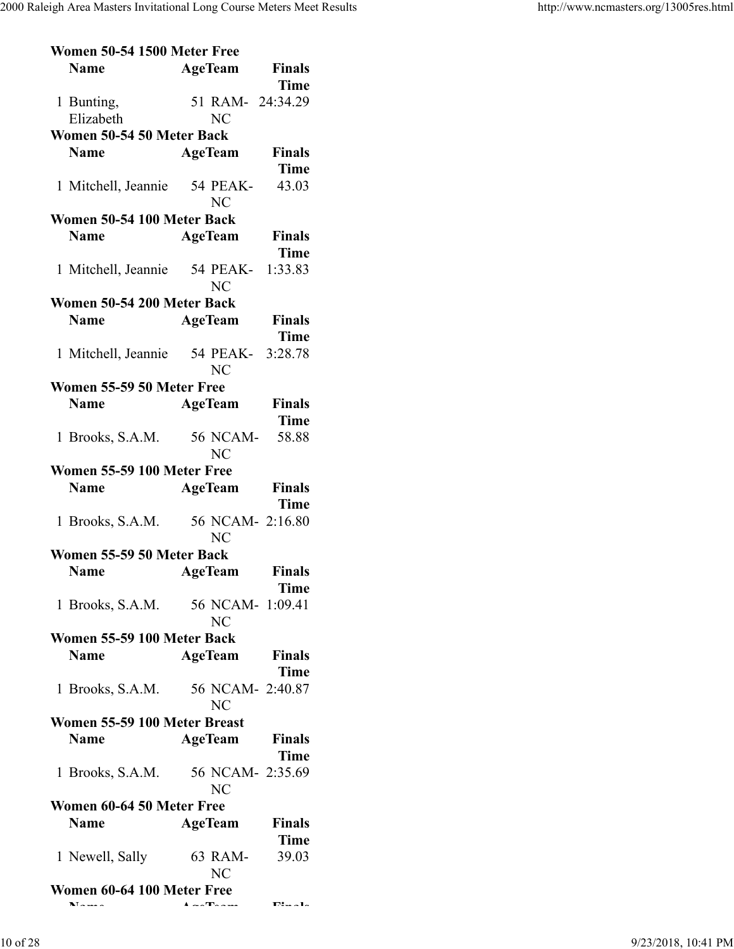| Women 50-54 1500 Meter Free                                 |                               |                              |
|-------------------------------------------------------------|-------------------------------|------------------------------|
| <b>Name</b>                                                 | <b>AgeTeam</b>                | <b>Finals</b><br><b>Time</b> |
| 1 Bunting,<br>Elizabeth                                     | 51 RAM- 24:34.29<br><b>NC</b> |                              |
| Women 50-54 50 Meter Back                                   |                               |                              |
| <b>Name</b>                                                 | <b>AgeTeam</b>                | <b>Finals</b>                |
|                                                             |                               | <b>Time</b>                  |
| 1 Mitchell, Jeannie                                         | 54 PEAK-<br><b>NC</b>         | 43.03                        |
| Women 50-54 100 Meter Back                                  |                               |                              |
| <b>Name</b>                                                 | <b>AgeTeam</b>                | <b>Finals</b><br><b>Time</b> |
| 1 Mitchell, Jeannie                                         | 54 PEAK-<br>N <sub>C</sub>    | 1:33.83                      |
| Women 50-54 200 Meter Back                                  |                               |                              |
| <b>Name</b>                                                 | <b>AgeTeam</b>                | <b>Finals</b>                |
|                                                             |                               | <b>Time</b>                  |
| 1 Mitchell, Jeannie                                         | 54 PEAK- 3:28.78              |                              |
|                                                             | <b>NC</b>                     |                              |
| Women 55-59 50 Meter Free                                   |                               |                              |
| <b>Name</b>                                                 | <b>AgeTeam</b>                | Finals                       |
|                                                             |                               | <b>Time</b>                  |
| 1 Brooks, S.A.M.                                            | 56 NCAM-                      | 58.88                        |
|                                                             | <b>NC</b>                     |                              |
| Women 55-59 100 Meter Free                                  |                               |                              |
|                                                             |                               |                              |
|                                                             |                               |                              |
| <b>Name</b>                                                 | <b>AgeTeam</b>                | Finals                       |
|                                                             |                               | <b>Time</b>                  |
| 1 Brooks, S.A.M.                                            | 56 NCAM- 2:16.80<br><b>NC</b> |                              |
| Women 55-59 50 Meter Back                                   |                               |                              |
| <b>Name</b>                                                 | <b>AgeTeam</b>                | Finals                       |
|                                                             |                               | Time                         |
| 1 Brooks, S.A.M. 56 NCAM- 1:09.41                           | N <sub>C</sub>                |                              |
|                                                             |                               |                              |
| Women 55-59 100 Meter Back                                  |                               |                              |
| <b>Name</b>                                                 | <b>AgeTeam</b>                | <b>Finals</b>                |
|                                                             |                               | Time                         |
| 1 Brooks, S.A.M.                                            | 56 NCAM- 2:40.87              |                              |
|                                                             | <b>NC</b>                     |                              |
| Women 55-59 100 Meter Breast                                |                               |                              |
| <b>Name</b>                                                 | <b>AgeTeam</b>                | <b>Finals</b>                |
|                                                             |                               | Time                         |
| 1 Brooks, S.A.M.                                            | 56 NCAM- 2:35.69              |                              |
|                                                             | <b>NC</b>                     |                              |
| Women 60-64 50 Meter Free                                   |                               |                              |
| <b>Name</b>                                                 | <b>AgeTeam</b>                | <b>Finals</b>                |
|                                                             |                               | <b>Time</b>                  |
| 1 Newell, Sally                                             | 63 RAM-                       | 39.03                        |
|                                                             | <b>NC</b>                     |                              |
| Women 60-64 100 Meter Free<br>$\mathbf{N}$ and $\mathbf{N}$ |                               | $\Pi^* = -1$                 |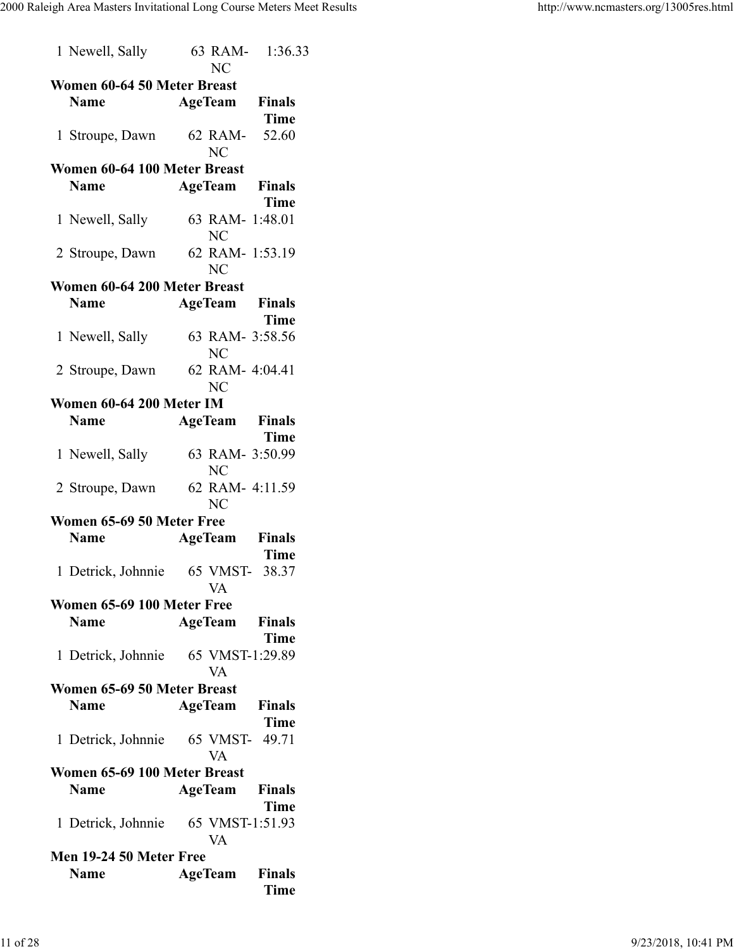| 1 Newell, Sally                    | <b>NC</b> | 63 RAM- 1:36.33                      |
|------------------------------------|-----------|--------------------------------------|
| Women 60-64 50 Meter Breast        |           |                                      |
| <b>Name</b>                        |           | <b>AgeTeam</b> Finals                |
|                                    |           | <b>Time</b>                          |
| 1 Stroupe, Dawn                    |           | 62 RAM- 52.60                        |
|                                    | <b>NC</b> |                                      |
| Women 60-64 100 Meter Breast       |           |                                      |
| <b>Name</b>                        |           | <b>AgeTeam</b> Finals<br><b>Time</b> |
|                                    |           | 63 RAM- 1:48.01                      |
| 1 Newell, Sally                    | <b>NC</b> |                                      |
| 2 Stroupe, Dawn                    |           | 62 RAM- 1:53.19                      |
|                                    | <b>NC</b> |                                      |
| Women 60-64 200 Meter Breast       |           |                                      |
| <b>Name</b>                        |           | <b>AgeTeam</b> Finals                |
|                                    |           | <b>Time</b>                          |
| 1 Newell, Sally                    | NC        | 63 RAM- 3:58.56                      |
| 2 Stroupe, Dawn 62 RAM- 4:04.41    |           |                                      |
|                                    | NC        |                                      |
| Women 60-64 200 Meter IM           |           |                                      |
| <b>Name</b>                        |           | <b>AgeTeam</b> Finals                |
|                                    |           | Time                                 |
| 1 Newell, Sally                    | <b>NC</b> | 63 RAM- 3:50.99                      |
| 2 Stroupe, Dawn                    | NC        | 62 RAM- 4:11.59                      |
| Women 65-69 50 Meter Free          |           |                                      |
| <b>Name</b>                        |           | <b>AgeTeam</b> Finals                |
|                                    |           | <b>Time</b>                          |
| 1 Detrick, Johnnie                 |           | 65 VMST- 38.37                       |
|                                    | VA        |                                      |
| Women 65-69 100 Meter Free         |           |                                      |
| <b>Name</b>                        |           | <b>AgeTeam</b> Finals                |
|                                    |           | <b>Time</b>                          |
| 1 Detrick, Johnnie 65 VMST-1:29.89 | VA        |                                      |
| Women 65-69 50 Meter Breast        |           |                                      |
| <b>Name</b>                        |           | <b>AgeTeam</b> Finals                |
|                                    |           | <b>Time</b>                          |
| 1 Detrick, Johnnie 65 VMST- 49.71  |           |                                      |
|                                    | VA        |                                      |
| Women 65-69 100 Meter Breast       |           |                                      |
| <b>Name</b>                        |           | <b>AgeTeam</b> Finals                |
|                                    |           | <b>Time</b>                          |
| 1 Detrick, Johnnie 65 VMST-1:51.93 | <b>VA</b> |                                      |
| Men 19-24 50 Meter Free            |           |                                      |
| <b>Name</b>                        |           | <b>AgeTeam</b> Finals                |
|                                    |           | <b>Time</b>                          |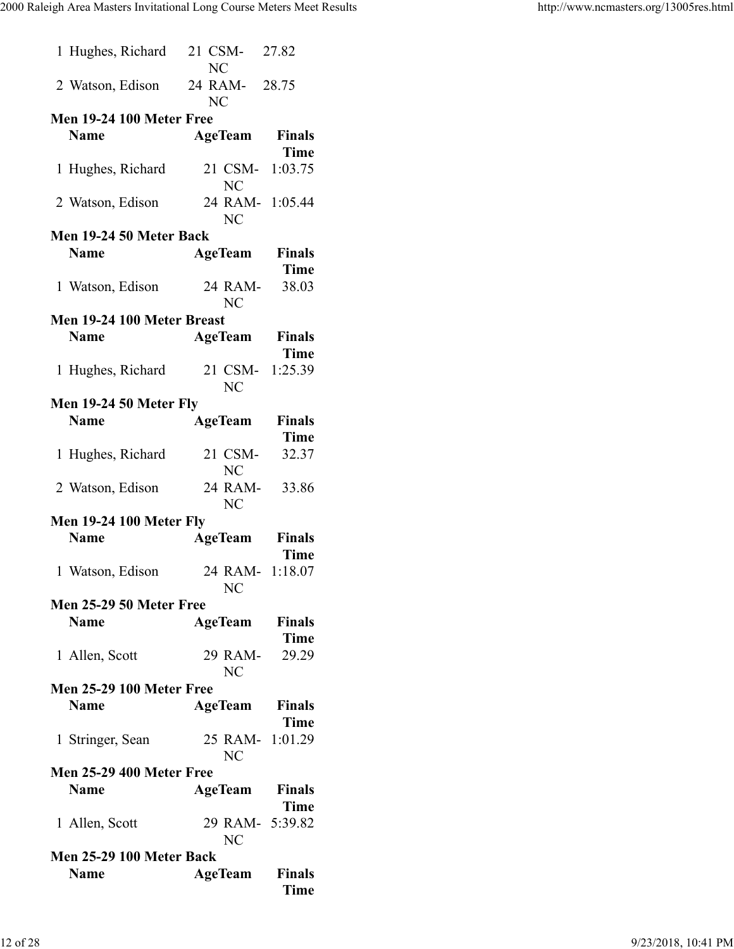|                   | 1 Hughes, Richard               | NC        | 21 CSM-              | 27.82                         |
|-------------------|---------------------------------|-----------|----------------------|-------------------------------|
|                   | 2 Watson, Edison 24 RAM- 28.75  | <b>NC</b> |                      |                               |
|                   | <b>Men 19-24 100 Meter Free</b> |           |                      |                               |
| <b>Name</b>       |                                 |           | AgeTeam              | Finals                        |
| 1 Hughes, Richard |                                 |           | 21 CSM-              | <b>Time</b><br>1:03.75        |
| 2 Watson, Edison  |                                 |           | NC                   | 24 RAM- 1:05.44               |
|                   | Men 19-24 50 Meter Back         |           | <b>NC</b>            |                               |
| <b>Name</b>       |                                 |           | <b>AgeTeam</b>       | <b>Finals</b>                 |
|                   |                                 |           |                      | <b>Time</b>                   |
| 1 Watson, Edison  |                                 |           | 24 RAM-<br><b>NC</b> | 38.03                         |
|                   | Men 19-24 100 Meter Breast      |           |                      |                               |
| <b>Name</b>       |                                 |           |                      | <b>AgeTeam</b> Finals         |
|                   |                                 |           |                      | <b>Time</b>                   |
|                   |                                 | 21 CSM-   |                      |                               |
| 1 Hughes, Richard |                                 |           | N <sub>C</sub>       | 1:25.39                       |
|                   | Men 19-24 50 Meter Fly          |           |                      |                               |
| <b>Name</b>       |                                 |           | <b>AgeTeam</b>       | Finals                        |
|                   |                                 |           |                      | <b>Time</b>                   |
| 1 Hughes, Richard |                                 |           | 21 CSM-<br><b>NC</b> | 32.37                         |
| 2 Watson, Edison  |                                 |           | 24 RAM-<br>NC        | 33.86                         |
|                   | <b>Men 19-24 100 Meter Fly</b>  |           |                      |                               |
| <b>Name</b>       |                                 |           |                      | <b>AgeTeam</b> Finals<br>Time |
| 1 Watson, Edison  |                                 |           | NC                   | 24 RAM- 1:18.07               |
|                   | Men 25-29 50 Meter Free         |           |                      |                               |
| <b>Name</b>       |                                 |           |                      | <b>AgeTeam</b> Finals         |
|                   |                                 |           |                      | <b>Time</b>                   |
| 1 Allen, Scott    |                                 |           | 29 RAM-<br><b>NC</b> | 29.29                         |
|                   | <b>Men 25-29 100 Meter Free</b> |           |                      |                               |
| <b>Name</b>       |                                 |           |                      | AgeTeam Finals                |
|                   |                                 |           |                      | <b>Time</b>                   |
| 1 Stringer, Sean  |                                 |           |                      | 25 RAM- 1:01.29               |
|                   |                                 |           | <b>NC</b>            |                               |
|                   | <b>Men 25-29 400 Meter Free</b> |           |                      |                               |
| <b>Name</b>       |                                 |           |                      | AgeTeam Finals                |
|                   |                                 |           |                      | <b>Time</b>                   |
| 1 Allen, Scott    |                                 |           |                      | 29 RAM- 5:39.82               |
|                   |                                 |           | <b>NC</b>            |                               |
|                   | Men 25-29 100 Meter Back        |           |                      |                               |
| <b>Name</b>       |                                 |           | <b>AgeTeam</b>       | <b>Finals</b><br><b>Time</b>  |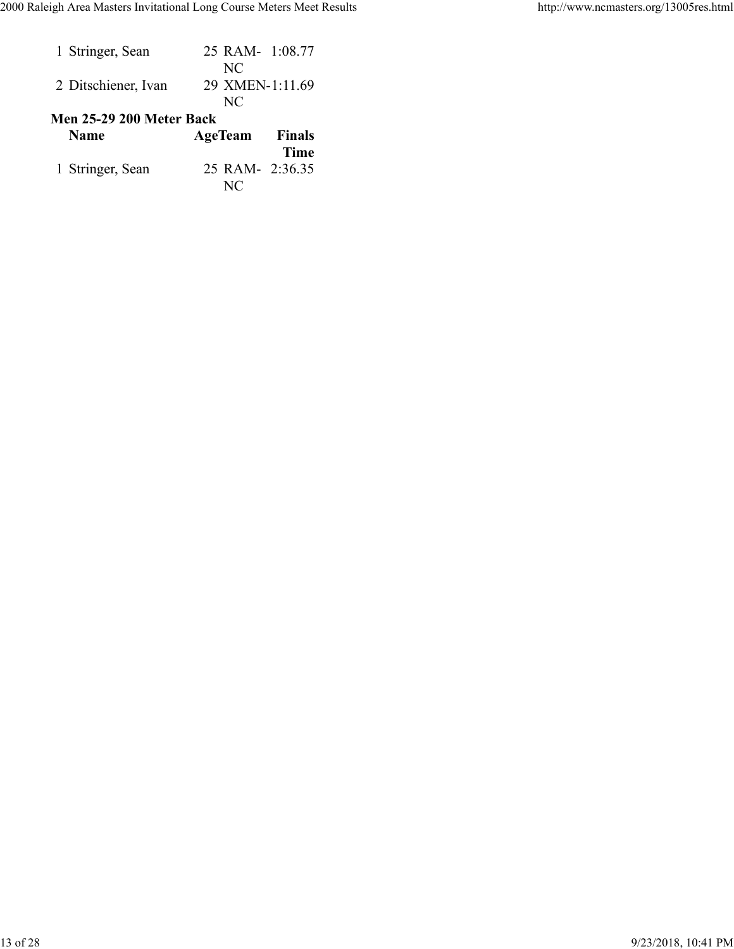| 1 Stringer, Sean                        | 25 RAM- 1:08.77<br>NC           |
|-----------------------------------------|---------------------------------|
| 2 Ditschiener, Ivan                     | 29 XMEN-1:11.69<br>NC           |
| Men 25-29 200 Meter Back<br><b>Name</b> | <b>AgeTeam</b><br><b>Finals</b> |
|                                         | Time                            |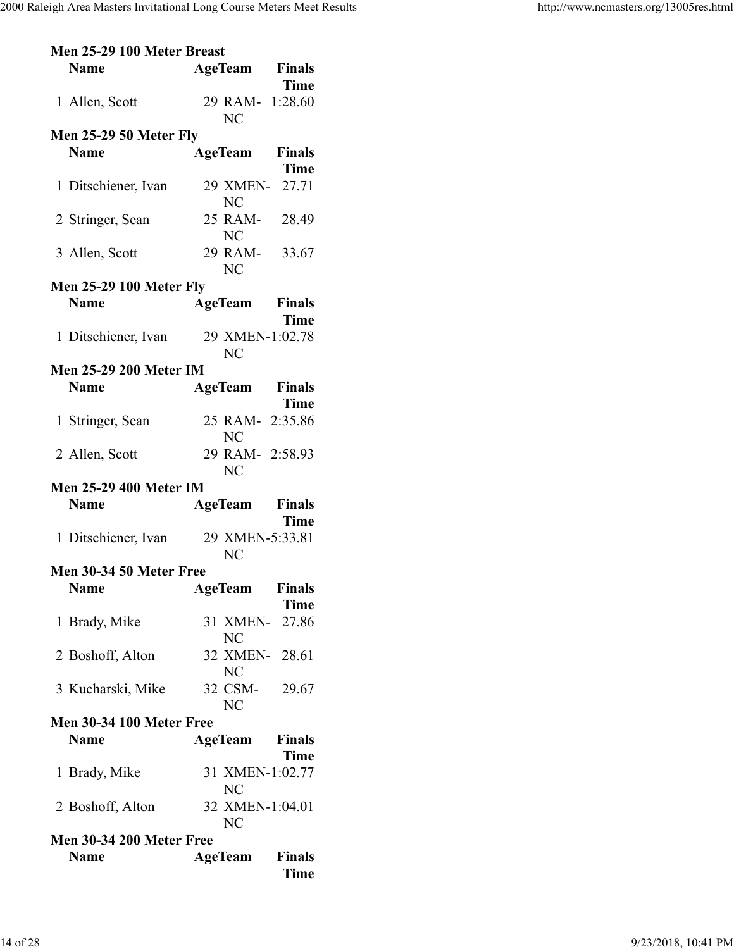| Men 25-29 100 Meter Breast      |                       |               |
|---------------------------------|-----------------------|---------------|
| <b>Name</b>                     | <b>AgeTeam</b> Finals |               |
|                                 |                       | <b>Time</b>   |
| 1 Allen, Scott                  | 29 RAM- 1:28.60       |               |
|                                 | NC                    |               |
| <b>Men 25-29 50 Meter Fly</b>   |                       |               |
| <b>Name</b>                     | <b>AgeTeam</b>        | <b>Finals</b> |
|                                 |                       | <b>Time</b>   |
|                                 | 29 XMEN- 27.71        |               |
| 1 Ditschiener, Ivan             | <b>NC</b>             |               |
|                                 |                       |               |
| 2 Stringer, Sean                | 25 RAM- 28.49         |               |
|                                 | NC                    |               |
| 3 Allen, Scott                  | 29 RAM- 33.67         |               |
|                                 | NC                    |               |
| <b>Men 25-29 100 Meter Fly</b>  |                       |               |
| <b>Name</b>                     | <b>AgeTeam</b> Finals |               |
|                                 |                       | <b>Time</b>   |
| 1 Ditschiener, Ivan             | 29 XMEN-1:02.78       |               |
|                                 | <b>NC</b>             |               |
| <b>Men 25-29 200 Meter IM</b>   |                       |               |
| <b>Name</b>                     | <b>AgeTeam</b> Finals |               |
|                                 |                       | <b>Time</b>   |
| 1 Stringer, Sean                | 25 RAM- 2:35.86       |               |
|                                 | NC                    |               |
| 2 Allen, Scott                  | 29 RAM- 2:58.93       |               |
|                                 | <b>NC</b>             |               |
| <b>Men 25-29 400 Meter IM</b>   |                       |               |
|                                 |                       |               |
| <b>Name</b>                     | <b>AgeTeam</b> Finals |               |
|                                 |                       | <b>Time</b>   |
| 1 Ditschiener, Ivan             | 29 XMEN-5:33.81       |               |
|                                 | <b>NC</b>             |               |
| Men 30-34 50 Meter Free         |                       |               |
| <b>Name</b>                     | <b>AgeTeam</b>        | <b>Finals</b> |
|                                 |                       | <b>Time</b>   |
| 1 Brady, Mike                   | 31 XMEN- 27.86        |               |
|                                 | NC                    |               |
| 2 Boshoff, Alton                | 32 XMEN- 28.61        |               |
|                                 | N <sub>C</sub>        |               |
| 3 Kucharski, Mike               | 32 CSM- 29.67         |               |
|                                 | <b>NC</b>             |               |
| <b>Men 30-34 100 Meter Free</b> |                       |               |
| <b>Name</b>                     | <b>AgeTeam</b>        | <b>Finals</b> |
|                                 |                       | <b>Time</b>   |
| 1 Brady, Mike                   | 31 XMEN-1:02.77       |               |
|                                 | NC                    |               |
| 2 Boshoff, Alton                | 32 XMEN-1:04.01       |               |
|                                 | <b>NC</b>             |               |
|                                 |                       |               |
| <b>Men 30-34 200 Meter Free</b> |                       |               |
| <b>Name</b>                     | AgeTeam               | <b>Finals</b> |
|                                 |                       | <b>Time</b>   |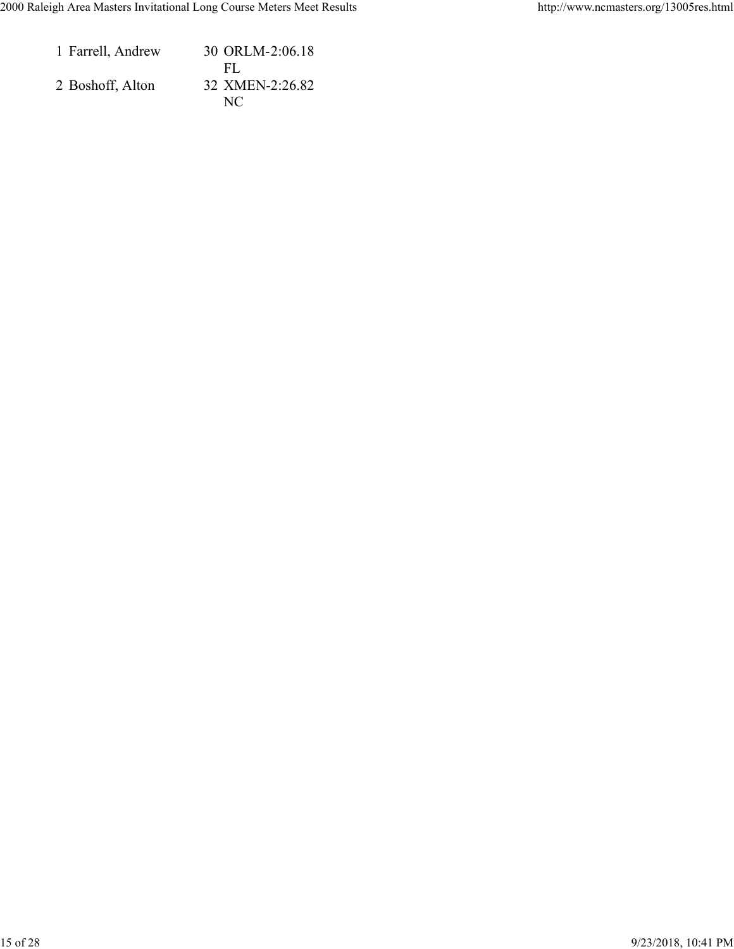| 1 Farrell, Andrew | 30 ORLM-2:06.18 |
|-------------------|-----------------|
|                   | FL.             |
| 2 Boshoff, Alton  | 32 XMEN-2:26.82 |
|                   | NC.             |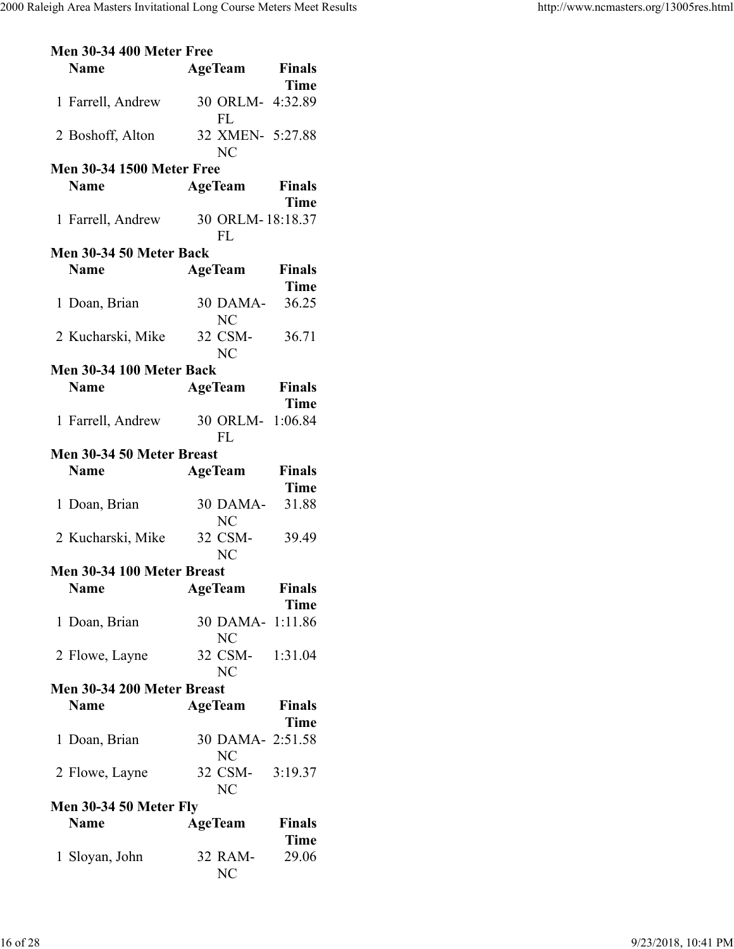| <b>Men 30-34 400 Meter Free</b>  |                  |               |
|----------------------------------|------------------|---------------|
| <b>Name</b>                      | <b>AgeTeam</b>   | <b>Finals</b> |
|                                  |                  | <b>Time</b>   |
| 1 Farrell, Andrew                | 30 ORLM- 4:32.89 |               |
|                                  | FL               |               |
| 2 Boshoff, Alton                 | 32 XMEN- 5:27.88 |               |
|                                  | <b>NC</b>        |               |
| <b>Men 30-34 1500 Meter Free</b> |                  |               |
| <b>Name</b>                      | AgeTeam Finals   |               |
|                                  |                  | <b>Time</b>   |
| 1 Farrell, Andrew                | 30 ORLM-18:18.37 |               |
|                                  | <b>FL</b>        |               |
| Men 30-34 50 Meter Back          |                  |               |
| <b>Name</b>                      | <b>AgeTeam</b>   | <b>Finals</b> |
|                                  |                  | <b>Time</b>   |
| 1 Doan, Brian                    | 30 DAMA-         | 36.25         |
|                                  | <b>NC</b>        |               |
|                                  | 32 CSM-          | 36.71         |
| 2 Kucharski, Mike                | NC <sub>1</sub>  |               |
| Men 30-34 100 Meter Back         |                  |               |
|                                  |                  |               |
| <b>Name</b>                      | <b>AgeTeam</b>   | <b>Finals</b> |
|                                  |                  | <b>Time</b>   |
| 1 Farrell, Andrew                | 30 ORLM-         | 1:06.84       |
|                                  | <b>FL</b>        |               |
| Men 30-34 50 Meter Breast        |                  |               |
|                                  |                  |               |
| <b>Name</b>                      | <b>AgeTeam</b>   | <b>Finals</b> |
|                                  |                  | <b>Time</b>   |
| 1 Doan, Brian                    | 30 DAMA-         | 31.88         |
|                                  | <b>NC</b>        |               |
| 2 Kucharski, Mike                | 32 CSM-          | 39.49         |
|                                  | NC <sub>1</sub>  |               |
| Men 30-34 100 Meter Breast       |                  |               |
| <b>Name</b>                      | <b>AgeTeam</b>   | <b>Finals</b> |
|                                  |                  | <b>Time</b>   |
| 1 Doan, Brian                    | 30 DAMA- 1:11.86 |               |
|                                  | NC               |               |
| 2 Flowe, Layne                   | 32 CSM- 1:31.04  |               |
|                                  | <b>NC</b>        |               |
| Men 30-34 200 Meter Breast       |                  |               |
| <b>Name</b>                      | <b>AgeTeam</b>   | Finals        |
|                                  |                  | <b>Time</b>   |
| 1 Doan, Brian                    | 30 DAMA- 2:51.58 |               |
|                                  | N <sub>C</sub>   |               |
| 2 Flowe, Layne                   | 32 CSM- 3:19.37  |               |
|                                  | NC               |               |
| <b>Men 30-34 50 Meter Fly</b>    |                  |               |
| <b>Name</b>                      | <b>AgeTeam</b>   | <b>Finals</b> |
|                                  |                  | <b>Time</b>   |
| 1 Sloyan, John                   | 32 RAM-          | 29.06         |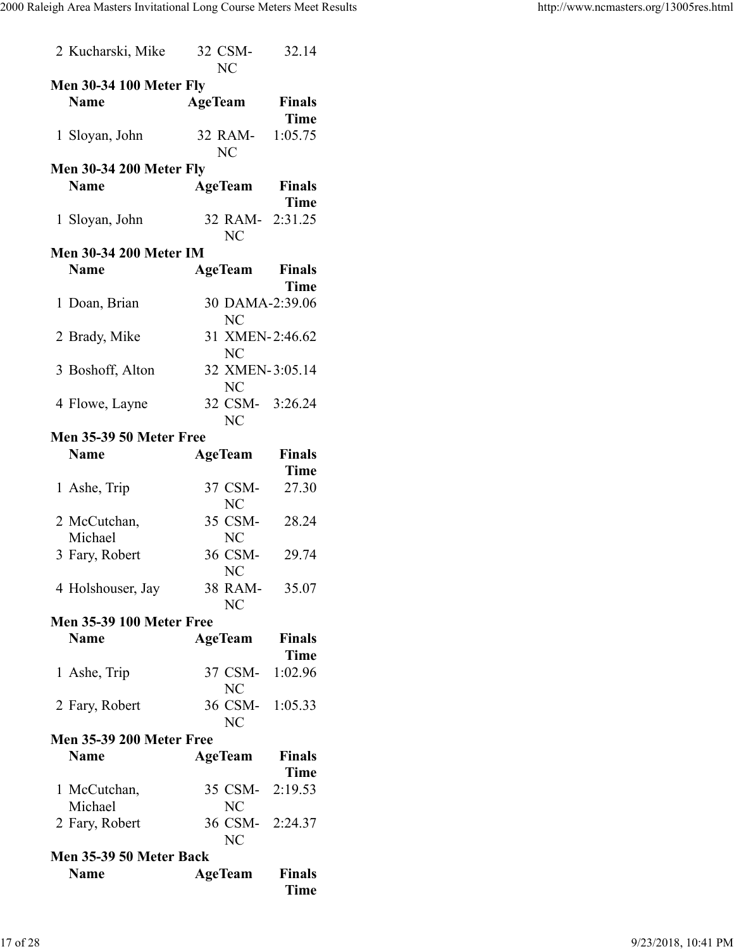| 2 Kucharski, Mike               | 32 CSM-<br><b>NC</b> | 32.14         |
|---------------------------------|----------------------|---------------|
| <b>Men 30-34 100 Meter Fly</b>  |                      |               |
| <b>Name</b>                     | <b>AgeTeam</b>       | <b>Finals</b> |
|                                 |                      | <b>Time</b>   |
|                                 |                      |               |
| 1 Sloyan, John                  | 32 RAM-              | 1:05.75       |
|                                 | <b>NC</b>            |               |
| <b>Men 30-34 200 Meter Fly</b>  |                      |               |
| <b>Name</b>                     | <b>AgeTeam</b>       | <b>Finals</b> |
|                                 |                      | <b>Time</b>   |
| 1 Sloyan, John                  | 32 RAM- 2:31.25      |               |
|                                 | NC                   |               |
| <b>Men 30-34 200 Meter IM</b>   |                      |               |
| <b>Name</b>                     | AgeTeam              | <b>Finals</b> |
|                                 |                      | <b>Time</b>   |
| 1 Doan, Brian                   | 30 DAMA-2:39.06      |               |
|                                 | <b>NC</b>            |               |
|                                 |                      |               |
| 2 Brady, Mike                   | 31 XMEN-2:46.62      |               |
|                                 | <b>NC</b>            |               |
| 3 Boshoff, Alton                | 32 XMEN-3:05.14      |               |
|                                 | NC                   |               |
| 4 Flowe, Layne                  | 32 CSM- 3:26.24      |               |
|                                 | NC                   |               |
| Men 35-39 50 Meter Free         |                      |               |
| <b>Name</b>                     | <b>AgeTeam</b>       | <b>Finals</b> |
|                                 |                      | <b>Time</b>   |
| 1 Ashe, Trip                    | 37 CSM-              | 27.30         |
|                                 | N <sub>C</sub>       |               |
| 2 McCutchan,                    | 35 CSM-              | 28.24         |
| Michael                         | NC                   |               |
| 3 Fary, Robert                  | 36 CSM-              | 29.74         |
|                                 |                      |               |
|                                 | N <sub>C</sub>       |               |
| 4 Holshouser, Jay               | 38 RAM-              | 35.07         |
|                                 | <b>NC</b>            |               |
| <b>Men 35-39 100 Meter Free</b> |                      |               |
| <b>Name</b>                     | AgeTeam              | <b>Finals</b> |
|                                 |                      | <b>Time</b>   |
| 1 Ashe, Trip                    | 37 CSM-              | 1:02.96       |
|                                 | NC                   |               |
| 2 Fary, Robert                  | 36 CSM- 1:05.33      |               |
|                                 | <b>NC</b>            |               |
| <b>Men 35-39 200 Meter Free</b> |                      |               |
| <b>Name</b>                     | <b>AgeTeam</b>       | <b>Finals</b> |
|                                 |                      | Time          |
| 1 McCutchan,                    | 35 CSM- 2:19.53      |               |
| Michael                         | NC                   |               |
|                                 |                      |               |
| 2 Fary, Robert                  | 36 CSM- 2:24.37      |               |
|                                 | <b>NC</b>            |               |
| Men 35-39 50 Meter Back         |                      |               |
| <b>Name</b>                     | <b>AgeTeam</b>       | <b>Finals</b> |
|                                 |                      | <b>Time</b>   |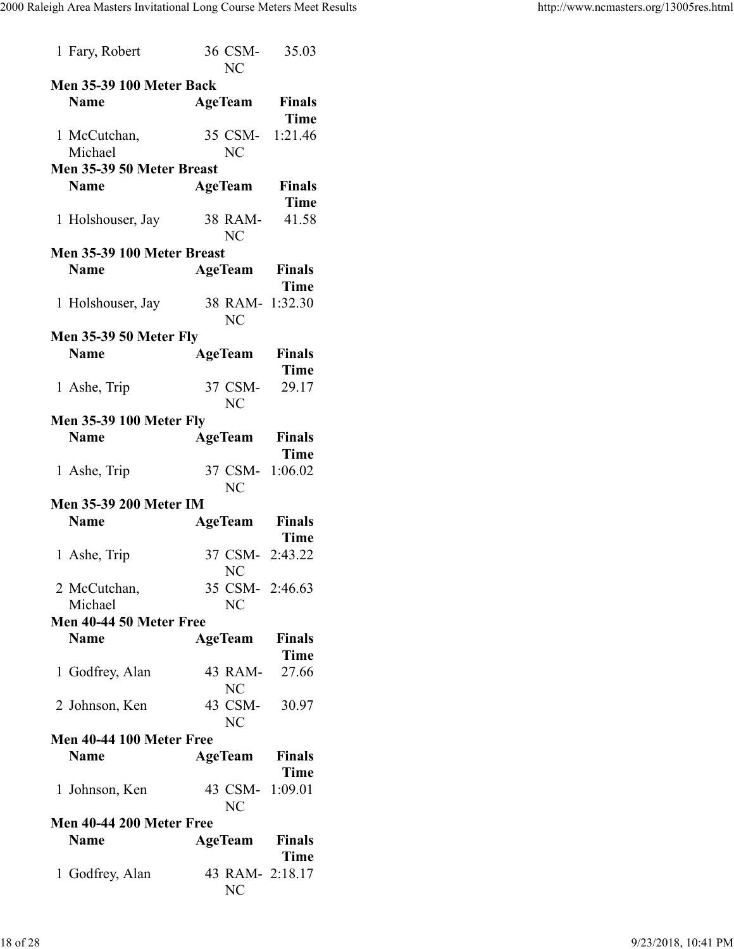| 1 Fary, Robert                             | 36 CSM-<br>NC                | 35.03                        |
|--------------------------------------------|------------------------------|------------------------------|
| <b>Men 35-39 100 Meter Back</b>            |                              |                              |
| <b>Name</b>                                | AgeTeam                      | <b>Finals</b><br><b>Time</b> |
| 1 McCutchan,<br>Michael                    | 35 CSM-<br>NC                | 1:21.46                      |
| Men 35-39 50 Meter Breast                  |                              |                              |
| <b>Name</b>                                | <b>AgeTeam</b>               | <b>Finals</b>                |
|                                            |                              | <b>Time</b>                  |
| 1 Holshouser, Jay 38 RAM-                  | NC                           | 41.58                        |
| Men 35-39 100 Meter Breast                 |                              |                              |
| <b>Name</b>                                | <b>AgeTeam</b>               | <b>Finals</b><br><b>Time</b> |
| 1 Holshouser, Jay 38 RAM- 1:32.30          | NC                           |                              |
| <b>Men 35-39 50 Meter Fly</b>              |                              |                              |
| <b>Name</b>                                | <b>AgeTeam</b>               | <b>Finals</b><br><b>Time</b> |
| 1 Ashe, Trip                               | 37 CSM-<br><b>NC</b>         | 29.17                        |
| <b>Men 35-39 100 Meter Fly</b>             |                              |                              |
| <b>Name</b>                                | <b>AgeTeam</b>               | <b>Finals</b><br><b>Time</b> |
| 1 Ashe, Trip                               | 37 CSM- 1:06.02<br><b>NC</b> |                              |
| <b>Men 35-39 200 Meter IM</b>              |                              |                              |
| <b>Name</b>                                | AgeTeam                      | <b>Finals</b>                |
| 1 Ashe, Trip                               | 37 CSM- 2:43.22<br><b>NC</b> | Time                         |
|                                            |                              |                              |
| 2 McCutchan,                               | 35 CSM- 2:46.63              |                              |
| Michael                                    | NC                           |                              |
| <b>Name</b>                                | <b>AgeTeam</b>               | <b>Finals</b>                |
|                                            |                              | Time                         |
| Men 40-44 50 Meter Free<br>1 Godfrey, Alan | 43 RAM-<br>NC                | 27.66                        |

| <b>Name</b>              | <b>AgeTeam</b> Finals |      |
|--------------------------|-----------------------|------|
|                          |                       | Time |
| 1 Johnson, Ken           | 43 CSM- 1:09.01       |      |
|                          | NC                    |      |
| Men 40-44 200 Meter Free |                       |      |
| <b>Name</b>              | <b>AgeTeam</b> Finals |      |
|                          |                       | Time |
| 1 Godfrey, Alan          | 43 RAM- 2:18.17       |      |
|                          | NC                    |      |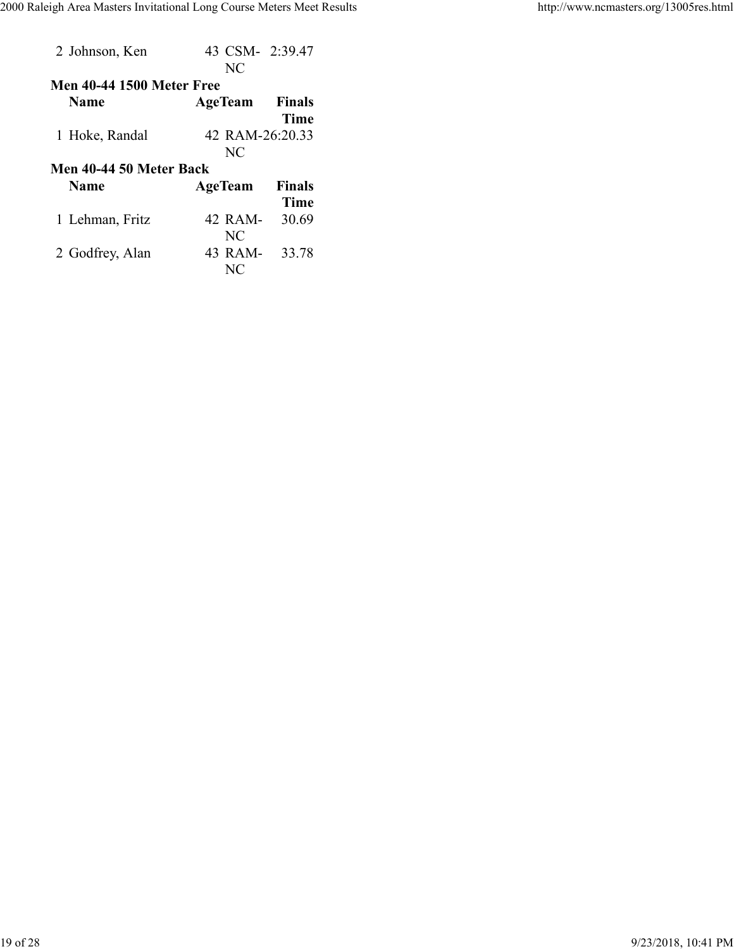| 2 Johnson, Ken                   | 43 CSM- 2:39.47<br>NC |               |
|----------------------------------|-----------------------|---------------|
| <b>Men 40-44 1500 Meter Free</b> |                       |               |
| <b>Name</b>                      | <b>AgeTeam</b>        | <b>Finals</b> |
|                                  |                       | <b>Time</b>   |
| 1 Hoke, Randal                   | 42 RAM-26:20.33       |               |
|                                  | NC                    |               |
|                                  |                       |               |
| Men 40-44 50 Meter Back          |                       |               |
| <b>Name</b>                      | <b>AgeTeam</b>        | <b>Finals</b> |
|                                  |                       | Time          |
| 1 Lehman, Fritz                  | 42 RAM-               | 30.69         |
|                                  | NC                    |               |
| 2 Godfrey, Alan                  | 43 RAM-               | 33.78         |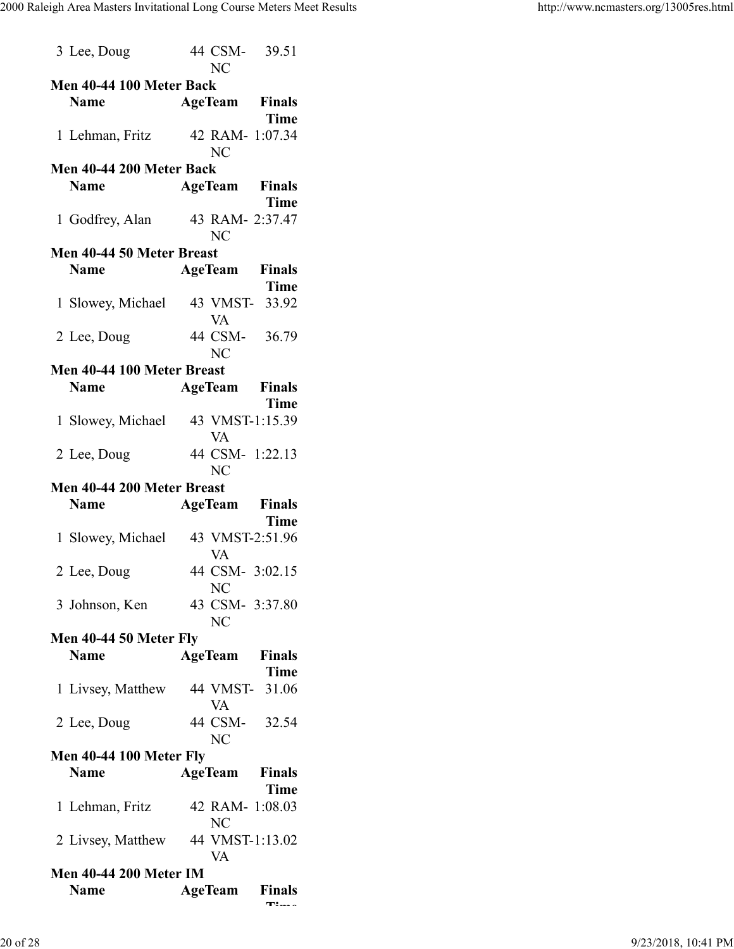| 3 Lee, Doug                    | 44 CSM- 39.51<br><b>NC</b>        |  |
|--------------------------------|-----------------------------------|--|
| Men 40-44 100 Meter Back       |                                   |  |
| <b>Name</b>                    | <b>AgeTeam</b> Finals             |  |
|                                |                                   |  |
|                                | <b>Time</b>                       |  |
|                                | 1 Lehman, Fritz 42 RAM- 1:07.34   |  |
|                                | N <sub>C</sub>                    |  |
| Men 40-44 200 Meter Back       |                                   |  |
| <b>Name</b>                    | <b>AgeTeam Finals</b>             |  |
|                                | <b>Time</b>                       |  |
|                                | 1 Godfrey, Alan 43 RAM- 2:37.47   |  |
|                                | <b>NC</b>                         |  |
| Men 40-44 50 Meter Breast      |                                   |  |
| <b>Name</b>                    | <b>AgeTeam Finals</b>             |  |
|                                | <b>Time</b>                       |  |
|                                |                                   |  |
|                                | 1 Slowey, Michael 43 VMST- 33.92  |  |
|                                | VA                                |  |
| 2 Lee, Doug                    | 44 CSM- 36.79                     |  |
|                                | NC                                |  |
| Men 40-44 100 Meter Breast     |                                   |  |
| <b>Name</b>                    | <b>AgeTeam</b> Finals             |  |
|                                | <b>Time</b>                       |  |
|                                |                                   |  |
| 1 Slowey, Michael              | 43 VMST-1:15.39                   |  |
|                                | <b>VA</b>                         |  |
| 2 Lee, Doug                    | 44 CSM- 1:22.13                   |  |
|                                | NC                                |  |
| Men 40-44 200 Meter Breast     |                                   |  |
|                                |                                   |  |
| <b>Name</b>                    |                                   |  |
|                                | <b>AgeTeam</b> Finals             |  |
|                                | <b>Time</b>                       |  |
|                                | 1 Slowey, Michael 43 VMST-2:51.96 |  |
|                                | <b>VA</b>                         |  |
| 2 Lee, Doug                    | 44 CSM- 3:02.15                   |  |
|                                | NC                                |  |
| 3 Johnson, Ken                 | 43 CSM- 3:37.80                   |  |
|                                | <b>NC</b>                         |  |
| Men 40-44 50 Meter Fly         |                                   |  |
| <b>Name</b>                    | <b>Finals</b>                     |  |
|                                | AgeTeam                           |  |
|                                | <b>Time</b>                       |  |
| 1 Livsey, Matthew              | 44 VMST- 31.06                    |  |
|                                | VA                                |  |
| 2 Lee, Doug                    | 44 CSM- 32.54                     |  |
|                                | NC                                |  |
| <b>Men 40-44 100 Meter Fly</b> |                                   |  |
| <b>Name</b>                    | <b>AgeTeam</b> Finals             |  |
|                                | Time                              |  |
|                                |                                   |  |
| 1 Lehman, Fritz                | 42 RAM- 1:08.03                   |  |
|                                | <b>NC</b>                         |  |
|                                | 2 Livsey, Matthew 44 VMST-1:13.02 |  |
|                                | VA                                |  |
| <b>Men 40-44 200 Meter IM</b>  |                                   |  |
| <b>Name</b>                    | <b>AgeTeam</b> Finals<br>т:… .    |  |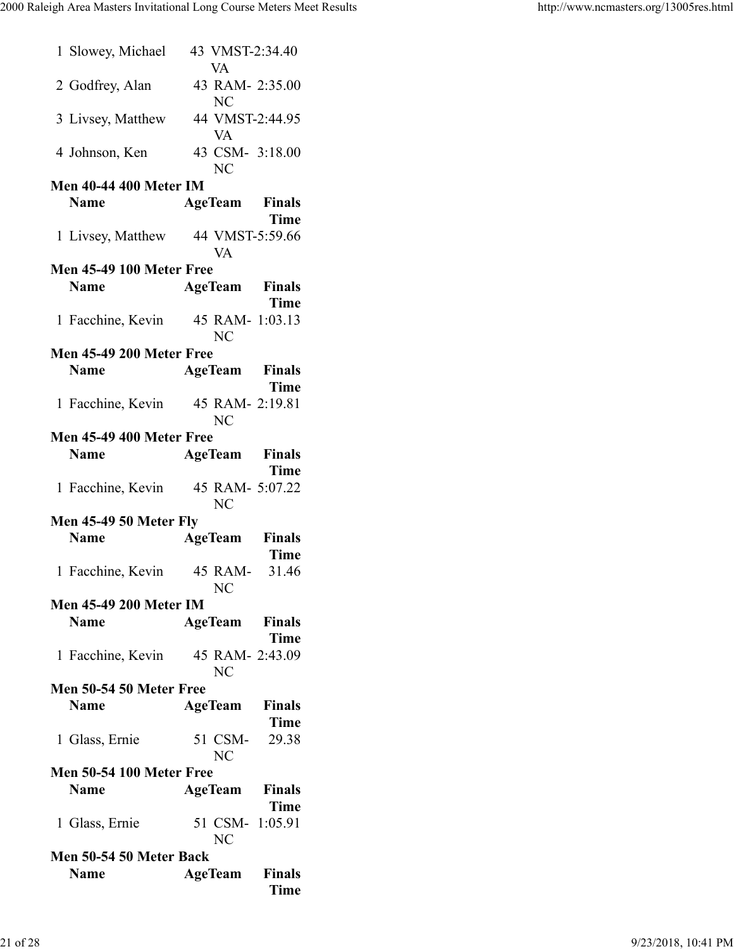| Men 50-54 50 Meter Free<br><b>Name</b><br>1 Glass, Ernie<br><b>Men 50-54 100 Meter Free</b><br>Name<br>1 Glass, Ernie<br>Men 50-54 50 Meter Back | <b>AgeTeam</b> Finals<br><b>Time</b><br>51 CSM-<br>29.38<br><b>NC</b><br><b>AgeTeam</b> Finals<br><b>Time</b><br>51 CSM- 1:05.91<br>NC |
|--------------------------------------------------------------------------------------------------------------------------------------------------|----------------------------------------------------------------------------------------------------------------------------------------|
|                                                                                                                                                  |                                                                                                                                        |
|                                                                                                                                                  |                                                                                                                                        |
|                                                                                                                                                  |                                                                                                                                        |
|                                                                                                                                                  |                                                                                                                                        |
| 1 Facchine, Kevin                                                                                                                                | 45 RAM- 2:43.09<br><b>NC</b>                                                                                                           |
| <b>Name</b>                                                                                                                                      | <b>AgeTeam</b> Finals<br><b>Time</b>                                                                                                   |
| <b>Men 45-49 200 Meter IM</b>                                                                                                                    | NC                                                                                                                                     |
| 1 Facchine, Kevin                                                                                                                                | Time<br>45 RAM- 31.46                                                                                                                  |
| Men 45-49 50 Meter Fly<br><b>Name</b>                                                                                                            | <b>AgeTeam</b> Finals                                                                                                                  |
|                                                                                                                                                  | 1 Facchine, Kevin 45 RAM- 5:07.22<br><b>NC</b>                                                                                         |
| <b>Men 45-49 400 Meter Free</b><br><b>Name</b>                                                                                                   | <b>AgeTeam</b> Finals<br><b>Time</b>                                                                                                   |
|                                                                                                                                                  | 1 Facchine, Kevin 45 RAM- 2:19.81<br><b>NC</b>                                                                                         |
| <b>Name</b>                                                                                                                                      | <b>AgeTeam</b> Finals<br><b>Time</b>                                                                                                   |
| <b>Men 45-49 200 Meter Free</b>                                                                                                                  | <b>NC</b>                                                                                                                              |
| 1 Facchine, Kevin                                                                                                                                | <b>Time</b><br>45 RAM- 1:03.13                                                                                                         |
| <b>Men 45-49 100 Meter Free</b><br><b>Name</b>                                                                                                   | <b>AgeTeam</b> Finals                                                                                                                  |
|                                                                                                                                                  | 1 Livsey, Matthew 44 VMST-5:59.66<br>VA                                                                                                |
| <b>Men 40-44 400 Meter IM</b><br><b>Name</b>                                                                                                     | <b>AgeTeam</b> Finals<br><b>Time</b>                                                                                                   |
| 4 Johnson, Ken                                                                                                                                   | 43 CSM- 3:18.00<br>N <sub>C</sub>                                                                                                      |
| 3 Livsey, Matthew                                                                                                                                | 44 VMST-2:44.95<br>VA                                                                                                                  |
| 2 Godfrey, Alan                                                                                                                                  | 43 RAM- 2:35.00<br>NC                                                                                                                  |
|                                                                                                                                                  | <b>VA</b>                                                                                                                              |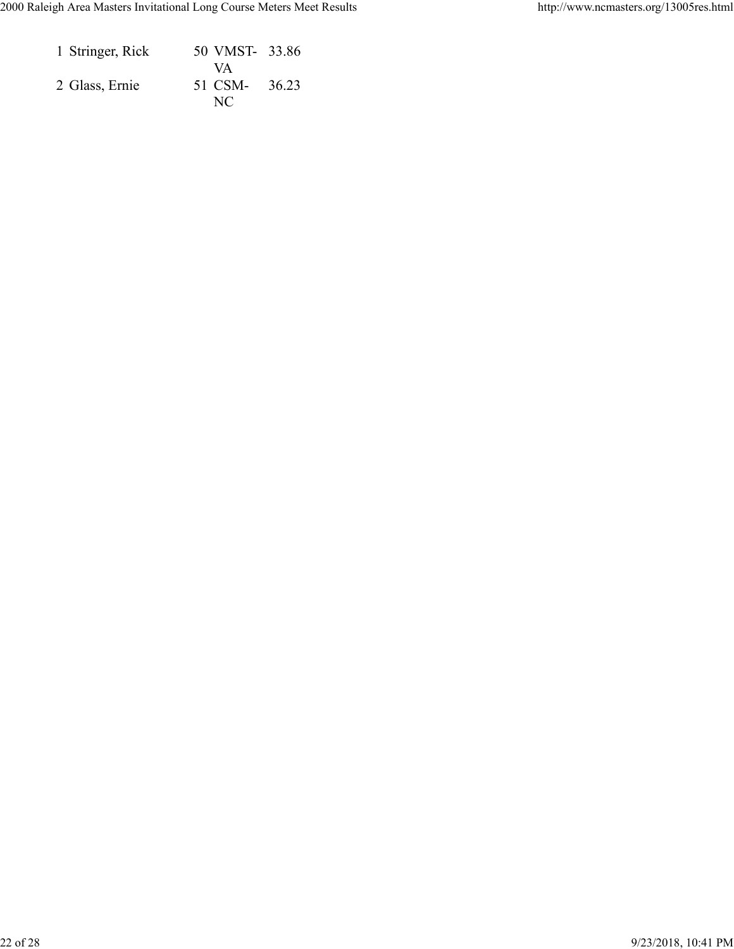| 1 Stringer, Rick | 50 VMST- 33.86 |  |
|------------------|----------------|--|
|                  | VA             |  |
| 2 Glass, Ernie   | 51 CSM- 36.23  |  |
|                  | NC.            |  |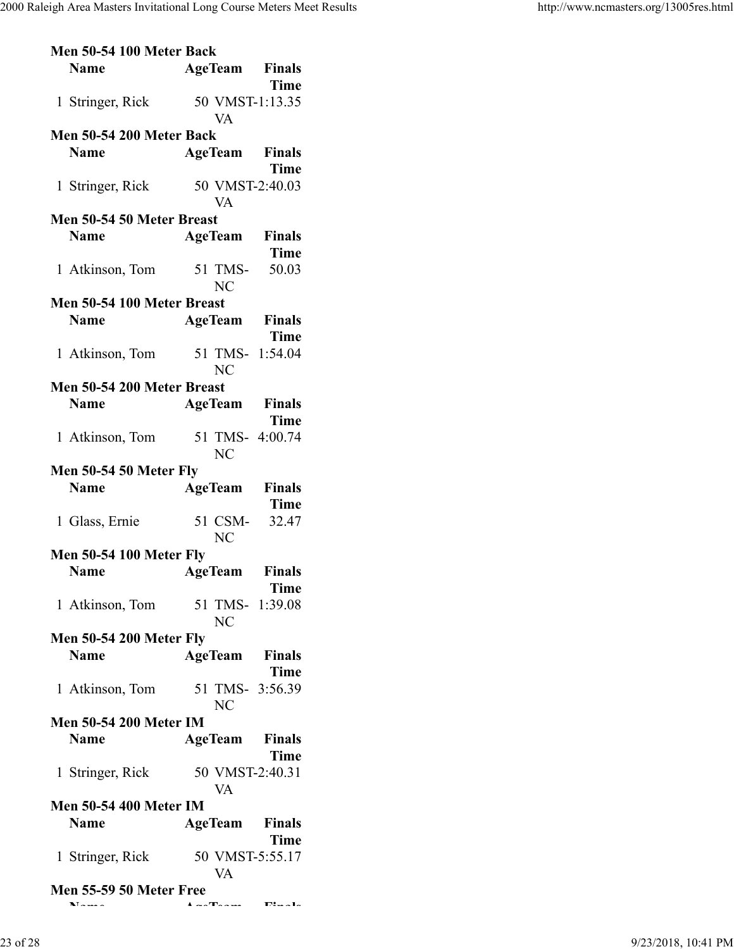| Men 50-54 100 Meter Back                  |                                      |  |
|-------------------------------------------|--------------------------------------|--|
| <b>Name</b>                               | <b>AgeTeam</b> Finals<br><b>Time</b> |  |
| 1 Stringer, Rick                          | 50 VMST-1:13.35<br><b>VA</b>         |  |
| Men 50-54 200 Meter Back                  |                                      |  |
|                                           |                                      |  |
| <b>Name</b>                               | <b>AgeTeam</b> Finals                |  |
|                                           | <b>Time</b>                          |  |
| 1 Stringer, Rick                          | 50 VMST-2:40.03                      |  |
|                                           | <b>VA</b>                            |  |
| Men 50-54 50 Meter Breast                 |                                      |  |
| <b>Name</b>                               | <b>AgeTeam</b> Finals                |  |
|                                           | <b>Time</b>                          |  |
| 1 Atkinson, Tom                           | 51 TMS- 50.03<br><b>NC</b>           |  |
| Men 50-54 100 Meter Breast                |                                      |  |
| <b>Name</b>                               | <b>AgeTeam</b> Finals                |  |
|                                           | <b>Time</b>                          |  |
| 1 Atkinson, Tom                           | 51 TMS- 1:54.04                      |  |
|                                           |                                      |  |
|                                           | <b>NC</b>                            |  |
| Men 50-54 200 Meter Breast                |                                      |  |
| <b>Name</b>                               | <b>AgeTeam</b> Finals                |  |
|                                           | <b>Time</b>                          |  |
| 1 Atkinson, Tom                           | 51 TMS- 4:00.74                      |  |
|                                           | NC                                   |  |
| <b>Men 50-54 50 Meter Fly</b>             |                                      |  |
| <b>Name</b>                               | <b>AgeTeam</b> Finals                |  |
|                                           | <b>Time</b>                          |  |
|                                           |                                      |  |
|                                           |                                      |  |
| 1 Glass, Ernie                            | 51 CSM-<br>32.47                     |  |
|                                           | N <sub>C</sub>                       |  |
| <b>Men 50-54 100 Meter Fly</b>            |                                      |  |
| <b>Name</b>                               | <b>AgeTeam</b> Finals                |  |
|                                           | Time                                 |  |
|                                           | 1 Atkinson, Tom 51 TMS- 1:39.08      |  |
|                                           | NC                                   |  |
| <b>Men 50-54 200 Meter Fly</b>            |                                      |  |
| <b>Name</b>                               | <b>AgeTeam</b> Finals                |  |
|                                           | Time                                 |  |
|                                           | 1 Atkinson, Tom 51 TMS- 3:56.39      |  |
|                                           | <b>NC</b>                            |  |
| <b>Men 50-54 200 Meter IM</b>             |                                      |  |
|                                           |                                      |  |
| <b>Name</b>                               | <b>AgeTeam</b> Finals                |  |
|                                           | <b>Time</b>                          |  |
| 1 Stringer, Rick                          | 50 VMST-2:40.31                      |  |
|                                           | <b>VA</b>                            |  |
| <b>Men 50-54 400 Meter IM</b>             |                                      |  |
| <b>Name</b>                               | <b>AgeTeam</b> Finals                |  |
|                                           | <b>Time</b>                          |  |
| 1 Stringer, Rick                          | 50 VMST-5:55.17                      |  |
|                                           | <b>VA</b>                            |  |
| <b>Men 55-59 50 Meter Free</b><br>$N = -$ |                                      |  |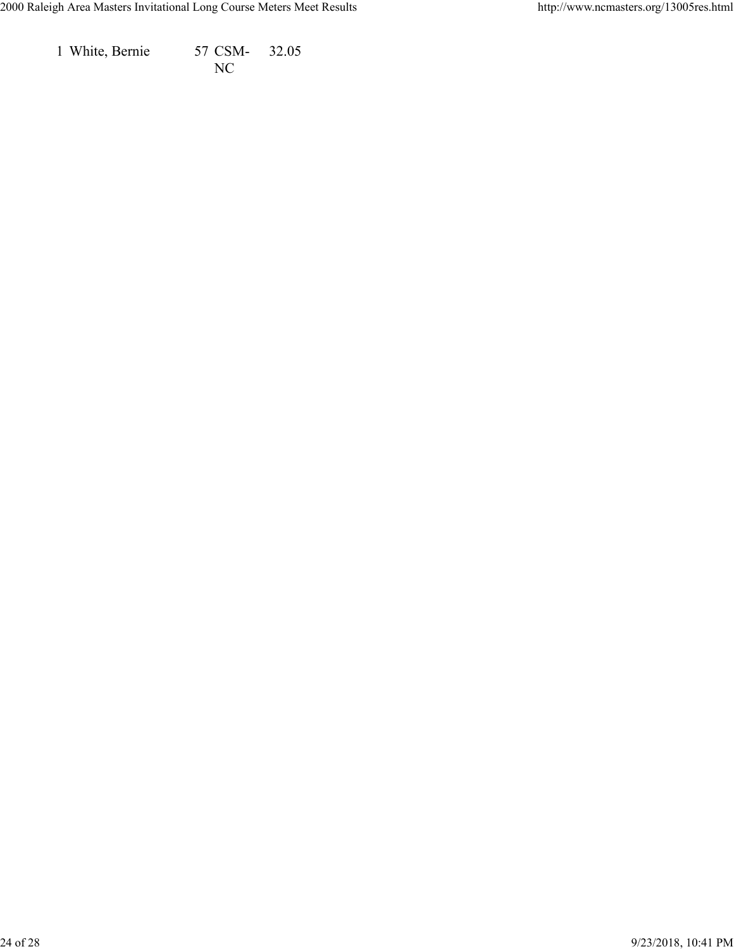1 White, Bernie 57 CSM-NC 32.05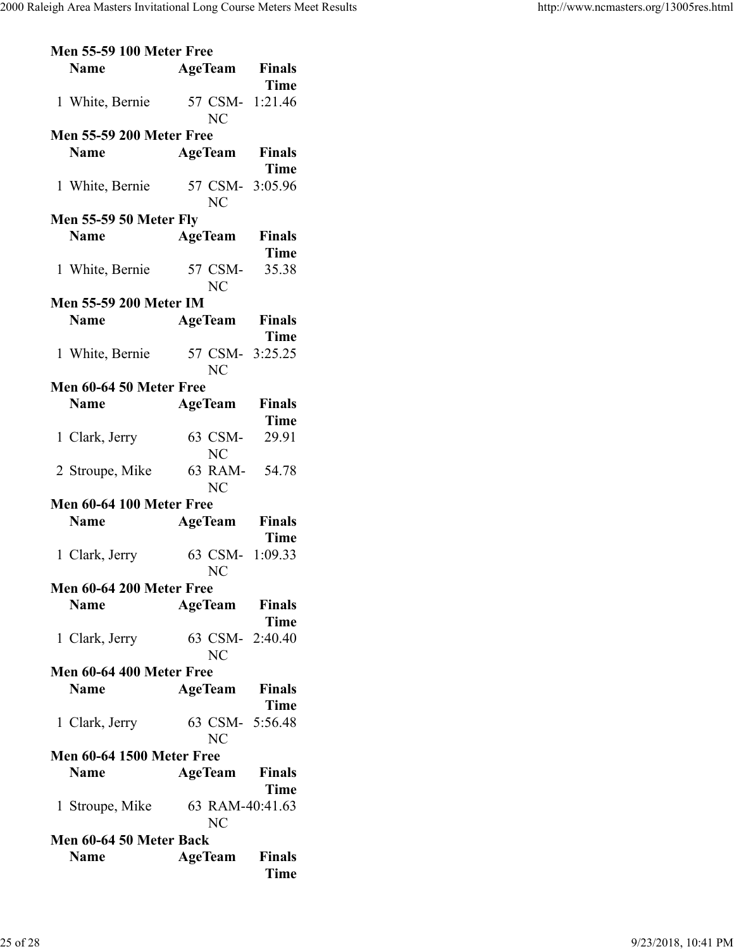|                          | <b>Men 55-59 100 Meter Free</b>  |  |                      |                                      |  |  |  |
|--------------------------|----------------------------------|--|----------------------|--------------------------------------|--|--|--|
|                          | <b>Name</b>                      |  |                      | <b>AgeTeam</b> Finals                |  |  |  |
|                          | 1 White, Bernie                  |  |                      | <b>Time</b><br>57 CSM- 1:21.46       |  |  |  |
|                          |                                  |  | NC                   |                                      |  |  |  |
|                          | <b>Men 55-59 200 Meter Free</b>  |  |                      |                                      |  |  |  |
|                          | <b>Name</b>                      |  |                      | <b>AgeTeam</b> Finals<br><b>Time</b> |  |  |  |
|                          |                                  |  |                      |                                      |  |  |  |
|                          | 1 White, Bernie                  |  | NC                   | 57 CSM- 3:05.96                      |  |  |  |
|                          | <b>Men 55-59 50 Meter Fly</b>    |  |                      |                                      |  |  |  |
|                          | <b>Name</b>                      |  |                      | <b>AgeTeam</b> Finals                |  |  |  |
|                          |                                  |  |                      | <b>Time</b>                          |  |  |  |
|                          | 1 White, Bernie                  |  | 57 CSM-              | 35.38                                |  |  |  |
|                          |                                  |  | <b>NC</b>            |                                      |  |  |  |
|                          | <b>Men 55-59 200 Meter IM</b>    |  |                      |                                      |  |  |  |
|                          | <b>Name</b>                      |  |                      | <b>AgeTeam</b> Finals                |  |  |  |
|                          |                                  |  |                      | <b>Time</b>                          |  |  |  |
|                          | 1 White, Bernie                  |  |                      | 57 CSM- 3:25.25                      |  |  |  |
|                          |                                  |  |                      |                                      |  |  |  |
|                          |                                  |  | NC                   |                                      |  |  |  |
|                          | Men 60-64 50 Meter Free          |  |                      |                                      |  |  |  |
|                          | <b>Name</b>                      |  |                      | <b>AgeTeam</b> Finals                |  |  |  |
|                          |                                  |  |                      | <b>Time</b>                          |  |  |  |
|                          | 1 Clark, Jerry                   |  | 63 CSM-<br><b>NC</b> | 29.91                                |  |  |  |
|                          | 2 Stroupe, Mike 63 RAM- 54.78    |  | <b>NC</b>            |                                      |  |  |  |
|                          | Men 60-64 100 Meter Free         |  |                      |                                      |  |  |  |
|                          | <b>Name</b>                      |  |                      | <b>AgeTeam</b> Finals                |  |  |  |
|                          |                                  |  |                      | <b>Time</b>                          |  |  |  |
|                          | 1 Clark, Jerry                   |  |                      | 63 CSM- 1:09.33                      |  |  |  |
|                          |                                  |  | NC                   |                                      |  |  |  |
|                          | Men 60-64 200 Meter Free         |  |                      |                                      |  |  |  |
|                          | <b>Name</b>                      |  |                      | <b>AgeTeam</b> Finals                |  |  |  |
|                          |                                  |  |                      | <b>Time</b>                          |  |  |  |
|                          | 1 Clark, Jerry                   |  |                      | 63 CSM- 2:40.40                      |  |  |  |
|                          |                                  |  | <b>NC</b>            |                                      |  |  |  |
| Men 60-64 400 Meter Free |                                  |  |                      |                                      |  |  |  |
|                          | <b>Name</b>                      |  |                      | <b>AgeTeam</b> Finals                |  |  |  |
|                          |                                  |  |                      | <b>Time</b>                          |  |  |  |
|                          |                                  |  |                      |                                      |  |  |  |
|                          | 1 Clark, Jerry                   |  |                      | 63 CSM- 5:56.48                      |  |  |  |
|                          |                                  |  | NC                   |                                      |  |  |  |
|                          | <b>Men 60-64 1500 Meter Free</b> |  |                      |                                      |  |  |  |
|                          | <b>Name</b>                      |  | <b>AgeTeam</b>       | <b>Finals</b>                        |  |  |  |
|                          |                                  |  |                      | Time                                 |  |  |  |
|                          | 1 Stroupe, Mike                  |  |                      | 63 RAM-40:41.63                      |  |  |  |
| N <sub>C</sub>           |                                  |  |                      |                                      |  |  |  |
| Men 60-64 50 Meter Back  |                                  |  |                      |                                      |  |  |  |
|                          | <b>Name</b>                      |  |                      | <b>AgeTeam</b> Finals                |  |  |  |
|                          |                                  |  |                      | <b>Time</b>                          |  |  |  |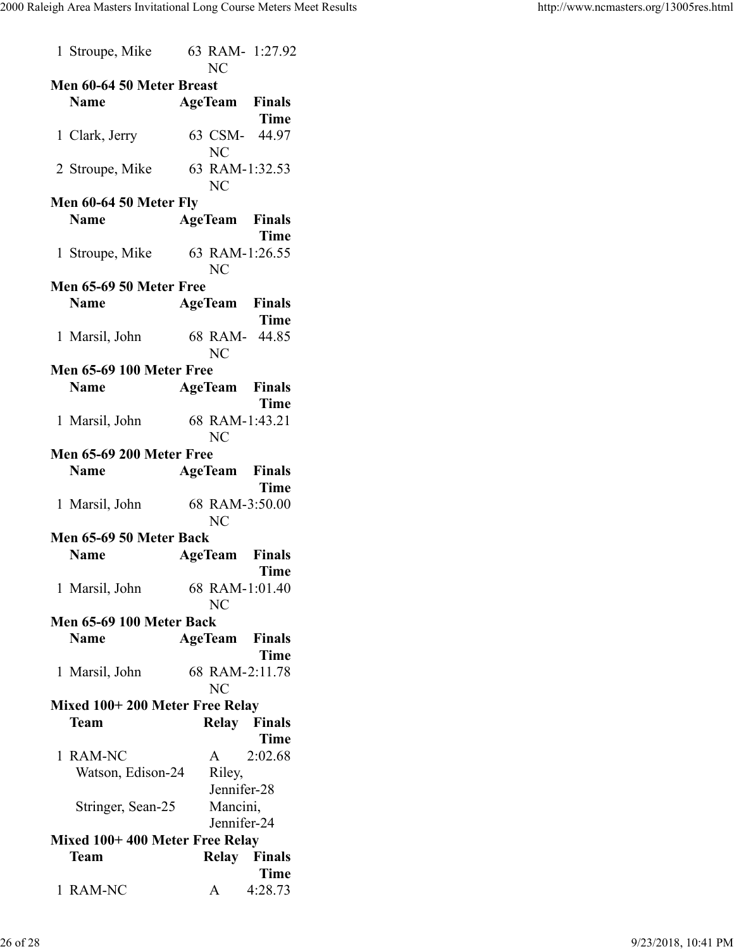|                                | 1 Stroupe, Mike                 | 63 RAM- 1:27.92<br>NC       |               |  |  |  |  |  |
|--------------------------------|---------------------------------|-----------------------------|---------------|--|--|--|--|--|
| Men 60-64 50 Meter Breast      |                                 |                             |               |  |  |  |  |  |
|                                | <b>Name</b>                     | <b>AgeTeam</b> Finals       |               |  |  |  |  |  |
|                                |                                 |                             | Time          |  |  |  |  |  |
|                                |                                 |                             |               |  |  |  |  |  |
|                                | 1 Clark, Jerry                  | 63 CSM- 44.97<br><b>NC</b>  |               |  |  |  |  |  |
|                                | 2 Stroupe, Mike                 | 63 RAM-1:32.53<br><b>NC</b> |               |  |  |  |  |  |
|                                | Men 60-64 50 Meter Fly          |                             |               |  |  |  |  |  |
|                                | <b>Name</b>                     | <b>AgeTeam</b> Finals       |               |  |  |  |  |  |
|                                |                                 |                             |               |  |  |  |  |  |
|                                |                                 |                             | <b>Time</b>   |  |  |  |  |  |
|                                | 1 Stroupe, Mike                 | 63 RAM-1:26.55              |               |  |  |  |  |  |
|                                |                                 | <b>NC</b>                   |               |  |  |  |  |  |
|                                | Men 65-69 50 Meter Free         |                             |               |  |  |  |  |  |
|                                | <b>Name</b>                     | <b>AgeTeam</b> Finals       |               |  |  |  |  |  |
|                                |                                 |                             | <b>Time</b>   |  |  |  |  |  |
|                                |                                 | 68 RAM- 44.85               |               |  |  |  |  |  |
|                                | 1 Marsil, John                  |                             |               |  |  |  |  |  |
|                                |                                 | NC                          |               |  |  |  |  |  |
|                                | <b>Men 65-69 100 Meter Free</b> |                             |               |  |  |  |  |  |
|                                | <b>Name</b>                     | <b>AgeTeam Finals</b>       |               |  |  |  |  |  |
|                                |                                 |                             | <b>Time</b>   |  |  |  |  |  |
|                                | 1 Marsil, John                  | 68 RAM-1:43.21              |               |  |  |  |  |  |
|                                |                                 |                             |               |  |  |  |  |  |
|                                |                                 | <b>NC</b>                   |               |  |  |  |  |  |
|                                | <b>Men 65-69 200 Meter Free</b> |                             |               |  |  |  |  |  |
|                                | <b>Name</b>                     | <b>AgeTeam</b> Finals       |               |  |  |  |  |  |
|                                |                                 |                             | Time          |  |  |  |  |  |
|                                | 1 Marsil, John                  | 68 RAM-3:50.00              |               |  |  |  |  |  |
|                                |                                 | <b>NC</b>                   |               |  |  |  |  |  |
|                                |                                 |                             |               |  |  |  |  |  |
|                                | Men 65-69 50 Meter Back         |                             |               |  |  |  |  |  |
|                                | <b>Name</b>                     | <b>AgeTeam</b> Finals       |               |  |  |  |  |  |
|                                |                                 |                             | Time          |  |  |  |  |  |
|                                | 1 Marsil, John                  | 68 RAM-1:01.40              |               |  |  |  |  |  |
|                                |                                 | NC                          |               |  |  |  |  |  |
|                                | Men 65-69 100 Meter Back        |                             |               |  |  |  |  |  |
|                                |                                 |                             |               |  |  |  |  |  |
|                                | <b>Name</b>                     | AgeTeam                     | <b>Finals</b> |  |  |  |  |  |
|                                |                                 |                             | Time          |  |  |  |  |  |
|                                | 1 Marsil, John                  | 68 RAM-2:11.78              |               |  |  |  |  |  |
|                                |                                 | NC                          |               |  |  |  |  |  |
|                                | Mixed 100+200 Meter Free Relay  |                             |               |  |  |  |  |  |
|                                | <b>Team</b>                     | Relay Finals                |               |  |  |  |  |  |
|                                |                                 |                             | <b>Time</b>   |  |  |  |  |  |
|                                |                                 |                             |               |  |  |  |  |  |
| 1.                             | <b>RAM-NC</b>                   | A                           | 2:02.68       |  |  |  |  |  |
|                                | Watson, Edison-24               | Riley,                      |               |  |  |  |  |  |
|                                |                                 | Jennifer-28                 |               |  |  |  |  |  |
|                                | Stringer, Sean-25               | Mancini,                    |               |  |  |  |  |  |
|                                |                                 | Jennifer-24                 |               |  |  |  |  |  |
|                                |                                 |                             |               |  |  |  |  |  |
| Mixed 100+400 Meter Free Relay |                                 |                             |               |  |  |  |  |  |
|                                | Team                            | Relay Finals                |               |  |  |  |  |  |
|                                |                                 |                             | <b>Time</b>   |  |  |  |  |  |
|                                | 1 RAM-NC                        | А                           | 4:28.73       |  |  |  |  |  |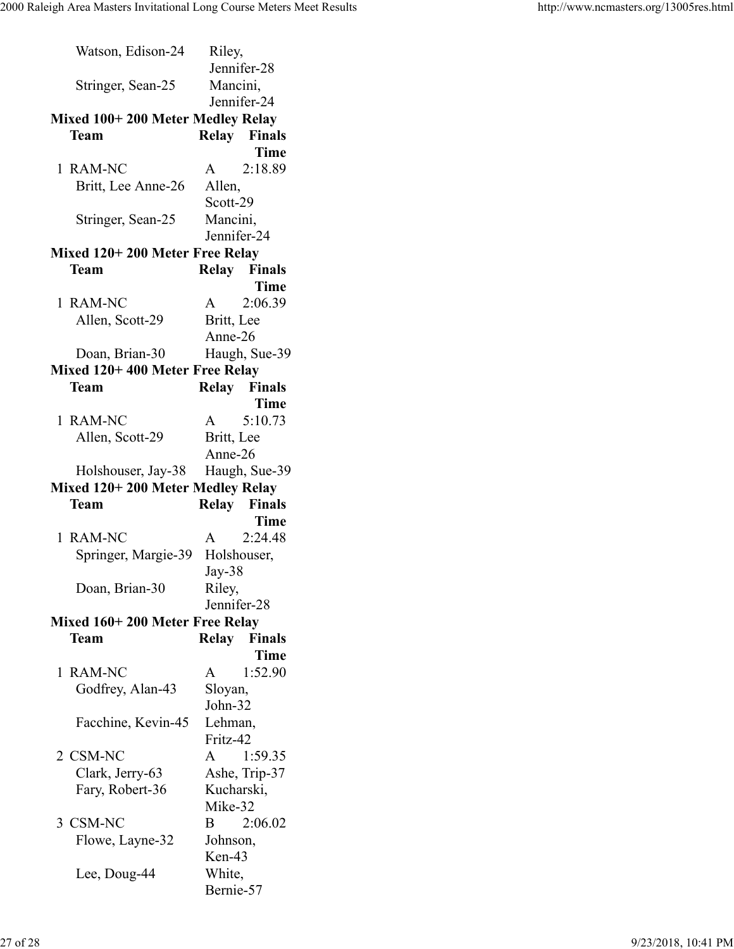| Watson, Edison-24                | Riley,       |                     |  |  |  |  |
|----------------------------------|--------------|---------------------|--|--|--|--|
|                                  | Jennifer-28  |                     |  |  |  |  |
| Stringer, Sean-25                | Mancini,     |                     |  |  |  |  |
|                                  |              | Jennifer-24         |  |  |  |  |
| Mixed 100+200 Meter Medley Relay |              |                     |  |  |  |  |
| <b>Team</b>                      |              | Relay Finals        |  |  |  |  |
|                                  |              | Time                |  |  |  |  |
| 1 RAM-NC                         | $\mathsf{A}$ | 2:18.89             |  |  |  |  |
| Britt, Lee Anne-26               | Allen,       |                     |  |  |  |  |
|                                  | Scott-29     |                     |  |  |  |  |
| Stringer, Sean-25                | Mancini,     |                     |  |  |  |  |
|                                  | Jennifer-24  |                     |  |  |  |  |
| Mixed 120+200 Meter Free Relay   |              |                     |  |  |  |  |
| Team                             |              | Relay Finals        |  |  |  |  |
|                                  |              | <b>Time</b>         |  |  |  |  |
| 1 RAM-NC                         | A            | 2:06.39             |  |  |  |  |
| Allen, Scott-29                  | Britt, Lee   |                     |  |  |  |  |
|                                  | Anne-26      |                     |  |  |  |  |
|                                  |              |                     |  |  |  |  |
| Doan, Brian-30                   |              | Haugh, Sue-39       |  |  |  |  |
| Mixed 120+400 Meter Free Relay   |              |                     |  |  |  |  |
| <b>Team</b>                      |              | <b>Relay</b> Finals |  |  |  |  |
|                                  |              | <b>Time</b>         |  |  |  |  |
| 1 RAM-NC                         | $\mathsf{A}$ | 5:10.73             |  |  |  |  |
| Allen, Scott-29                  | Britt, Lee   |                     |  |  |  |  |
|                                  | Anne-26      |                     |  |  |  |  |
|                                  |              |                     |  |  |  |  |
| Holshouser, Jay-38               |              | Haugh, Sue-39       |  |  |  |  |
| Mixed 120+200 Meter Medley Relay |              |                     |  |  |  |  |
| Team                             |              | Relay Finals        |  |  |  |  |
|                                  |              | Time                |  |  |  |  |
| <b>RAM-NC</b><br>1.              | A            | 2:24.48             |  |  |  |  |
| Springer, Margie-39              |              | Holshouser,         |  |  |  |  |
|                                  | Jay-38       |                     |  |  |  |  |
| Doan, Brian-30                   | Riley,       |                     |  |  |  |  |
|                                  | Jennifer-28  |                     |  |  |  |  |
| Mixed 160+200 Meter Free Relay   |              |                     |  |  |  |  |
| <b>Team</b>                      | <b>Relay</b> | <b>Finals</b>       |  |  |  |  |
|                                  |              | Time                |  |  |  |  |
| <b>RAM-NC</b><br>1               | A            | 1:52.90             |  |  |  |  |
| Godfrey, Alan-43                 | Sloyan,      |                     |  |  |  |  |
|                                  | John-32      |                     |  |  |  |  |
| Facchine, Kevin-45               | Lehman,      |                     |  |  |  |  |
|                                  | Fritz-42     |                     |  |  |  |  |
| 2 CSM-NC                         | $\mathbf{A}$ | 1:59.35             |  |  |  |  |
| Clark, Jerry-63                  |              | Ashe, Trip-37       |  |  |  |  |
| Fary, Robert-36                  | Kucharski,   |                     |  |  |  |  |
|                                  | Mike-32      |                     |  |  |  |  |
| 3 CSM-NC                         | $\bf{B}$     | 2:06.02             |  |  |  |  |
| Flowe, Layne-32                  | Johnson,     |                     |  |  |  |  |
|                                  | Ken-43       |                     |  |  |  |  |
| Lee, Doug-44                     | White,       |                     |  |  |  |  |